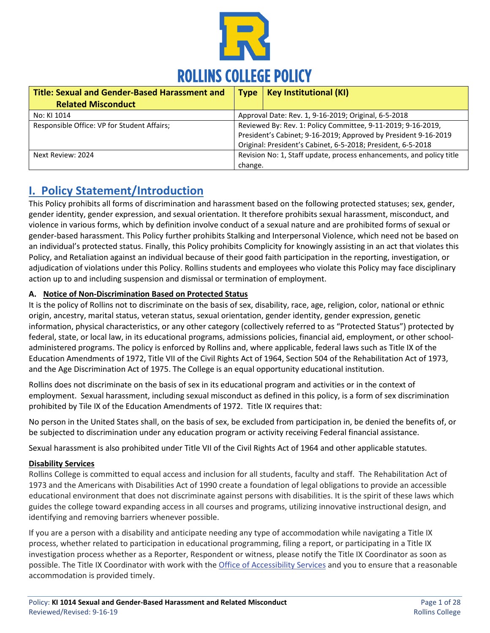

| <b>Title: Sexual and Gender-Based Harassment and</b> | <b>Type</b>                                                          | <b>Key Institutional (KI)</b> |
|------------------------------------------------------|----------------------------------------------------------------------|-------------------------------|
| <b>Related Misconduct</b>                            |                                                                      |                               |
| No: KI 1014                                          | Approval Date: Rev. 1, 9-16-2019; Original, 6-5-2018                 |                               |
| Responsible Office: VP for Student Affairs;          | Reviewed By: Rev. 1: Policy Committee, 9-11-2019; 9-16-2019,         |                               |
|                                                      | President's Cabinet; 9-16-2019; Approved by President 9-16-2019      |                               |
|                                                      | Original: President's Cabinet, 6-5-2018; President, 6-5-2018         |                               |
| Next Review: 2024                                    | Revision No: 1, Staff update, process enhancements, and policy title |                               |
|                                                      | change.                                                              |                               |

## **I. Policy Statement/Introduction**

This Policy prohibits all forms of discrimination and harassment based on the following protected statuses; sex, gender, gender identity, gender expression, and sexual orientation. It therefore prohibits sexual harassment, misconduct, and violence in various forms, which by definition involve conduct of a sexual nature and are prohibited forms of sexual or gender-based harassment. This Policy further prohibits Stalking and Interpersonal Violence, which need not be based on an individual's protected status. Finally, this Policy prohibits Complicity for knowingly assisting in an act that violates this Policy, and Retaliation against an individual because of their good faith participation in the reporting, investigation, or adjudication of violations under this Policy. Rollins students and employees who violate this Policy may face disciplinary action up to and including suspension and dismissal or termination of employment.

## **A. Notice of Non-Discrimination Based on Protected Status**

It is the policy of Rollins not to discriminate on the basis of sex, disability, race, age, religion, color, national or ethnic origin, ancestry, marital status, veteran status, sexual orientation, gender identity, gender expression, genetic information, physical characteristics, or any other category (collectively referred to as "Protected Status") protected by federal, state, or local law, in its educational programs, admissions policies, financial aid, employment, or other schooladministered programs. The policy is enforced by Rollins and, where applicable, federal laws such as Title IX of the Education Amendments of 1972, Title VII of the Civil Rights Act of 1964, Section 504 of the Rehabilitation Act of 1973, and the Age Discrimination Act of 1975. The College is an equal opportunity educational institution.

Rollins does not discriminate on the basis of sex in its educational program and activities or in the context of employment. Sexual harassment, including sexual misconduct as defined in this policy, is a form of sex discrimination prohibited by Tile IX of the Education Amendments of 1972. Title IX requires that:

No person in the United States shall, on the basis of sex, be excluded from participation in, be denied the benefits of, or be subjected to discrimination under any education program or activity receiving Federal financial assistance.

Sexual harassment is also prohibited under Title VII of the Civil Rights Act of 1964 and other applicable statutes.

#### **Disability Services**

Rollins College is committed to equal access and inclusion for all students, faculty and staff. The Rehabilitation Act of 1973 and the Americans with Disabilities Act of 1990 create a foundation of legal obligations to provide an accessible educational environment that does not discriminate against persons with disabilities. It is the spirit of these laws which guides the college toward expanding access in all courses and programs, utilizing innovative instructional design, and identifying and removing barriers whenever possible.

If you are a person with a disability and anticipate needing any type of accommodation while navigating a Title IX process, whether related to participation in educational programming, filing a report, or participating in a Title IX investigation process whether as a Reporter, Respondent or witness, please notify the Title IX Coordinator as soon as possible. The Title IX Coordinator with work with th[e Office of Accessibility Services](http://www.rollins.edu/accessibility-services/) and you to ensure that a reasonable accommodation is provided timely.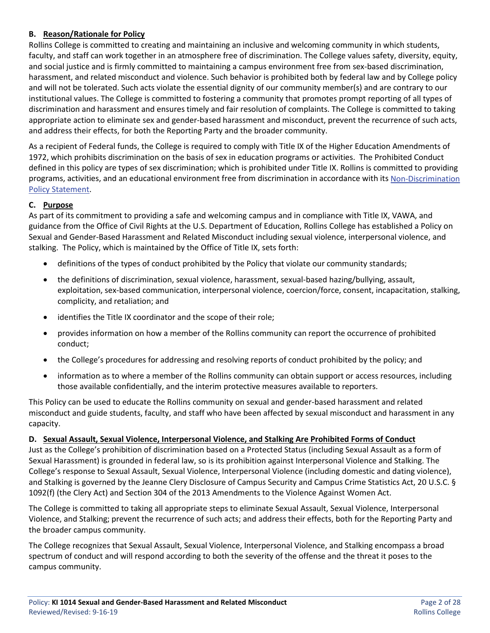## **B. Reason/Rationale for Policy**

Rollins College is committed to creating and maintaining an inclusive and welcoming community in which students, faculty, and staff can work together in an atmosphere free of discrimination. The College values safety, diversity, equity, and social justice and is firmly committed to maintaining a campus environment free from sex-based discrimination, harassment, and related misconduct and violence. Such behavior is prohibited both by federal law and by College policy and will not be tolerated. Such acts violate the essential dignity of our community member(s) and are contrary to our institutional values. The College is committed to fostering a community that promotes prompt reporting of all types of discrimination and harassment and ensures timely and fair resolution of complaints. The College is committed to taking appropriate action to eliminate sex and gender-based harassment and misconduct, prevent the recurrence of such acts, and address their effects, for both the Reporting Party and the broader community.

As a recipient of Federal funds, the College is required to comply with Title IX of the Higher Education Amendments of 1972, which prohibits discrimination on the basis of sex in education programs or activities. The Prohibited Conduct defined in this policy are types of sex discrimination; which is prohibited under Title IX. Rollins is committed to providing programs, activities, and an educational environment free from discrimination in accordance with its [Non-Discrimination](http://www.rollins.edu/human-resources/documents/policies/general-policies/nondiscrimination-policy-statement-030000.pdf)  [Policy Statement.](http://www.rollins.edu/human-resources/documents/policies/general-policies/nondiscrimination-policy-statement-030000.pdf)

## **C. Purpose**

As part of its commitment to providing a safe and welcoming campus and in compliance with Title IX, VAWA, and guidance from the Office of Civil Rights at the U.S. Department of Education, Rollins College has established a Policy on Sexual and Gender-Based Harassment and Related Misconduct including sexual violence, interpersonal violence, and stalking. The Policy, which is maintained by the Office of Title IX, sets forth:

- definitions of the types of conduct prohibited by the Policy that violate our community standards;
- the definitions of discrimination, sexual violence, harassment, sexual-based hazing/bullying, assault, exploitation, sex-based communication, interpersonal violence, coercion/force, consent, incapacitation, stalking, complicity, and retaliation; and
- identifies the Title IX coordinator and the scope of their role;
- provides information on how a member of the Rollins community can report the occurrence of prohibited conduct;
- the College's procedures for addressing and resolving reports of conduct prohibited by the policy; and
- information as to where a member of the Rollins community can obtain support or access resources, including those available confidentially, and the interim protective measures available to reporters.

This Policy can be used to educate the Rollins community on sexual and gender-based harassment and related misconduct and guide students, faculty, and staff who have been affected by sexual misconduct and harassment in any capacity.

#### **D. Sexual Assault, Sexual Violence, Interpersonal Violence, and Stalking Are Prohibited Forms of Conduct**

Just as the College's prohibition of discrimination based on a Protected Status (including Sexual Assault as a form of Sexual Harassment) is grounded in federal law, so is its prohibition against Interpersonal Violence and Stalking. The College's response to Sexual Assault, Sexual Violence, Interpersonal Violence (including domestic and dating violence), and Stalking is governed by the Jeanne Clery Disclosure of Campus Security and Campus Crime Statistics Act, 20 U.S.C. § 1092(f) (the Clery Act) and Section 304 of the 2013 Amendments to the Violence Against Women Act.

The College is committed to taking all appropriate steps to eliminate Sexual Assault, Sexual Violence, Interpersonal Violence, and Stalking; prevent the recurrence of such acts; and address their effects, both for the Reporting Party and the broader campus community.

The College recognizes that Sexual Assault, Sexual Violence, Interpersonal Violence, and Stalking encompass a broad spectrum of conduct and will respond according to both the severity of the offense and the threat it poses to the campus community.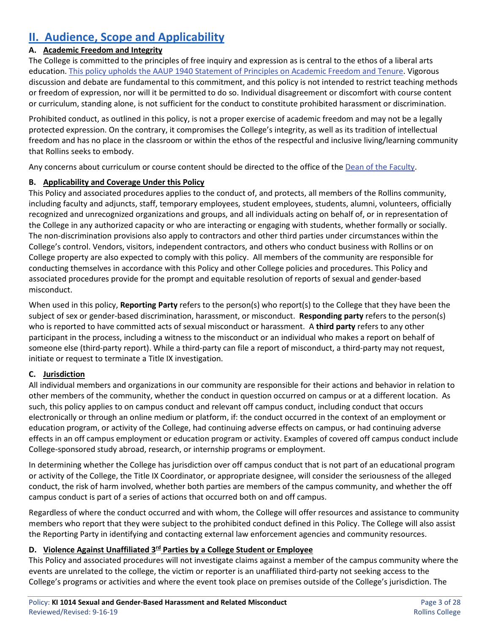# **II. Audience, Scope and Applicability**

## **A. Academic Freedom and Integrity**

The College is committed to the principles of free inquiry and expression as is central to the ethos of a liberal arts education. [This policy upholds the AAUP 1940 Statement of Principles on Academic Freedom and Tenure.](https://www.aaup.org/report/1940-statement-principles-academic-freedom-and-tenure) Vigorous discussion and debate are fundamental to this commitment, and this policy is not intended to restrict teaching methods or freedom of expression, nor will it be permitted to do so. Individual disagreement or discomfort with course content or curriculum, standing alone, is not sufficient for the conduct to constitute prohibited harassment or discrimination.

Prohibited conduct, as outlined in this policy, is not a proper exercise of academic freedom and may not be a legally protected expression. On the contrary, it compromises the College's integrity, as well as its tradition of intellectual freedom and has no place in the classroom or within the ethos of the respectful and inclusive living/learning community that Rollins seeks to embody.

Any concerns about curriculum or course content should be directed to the office of th[e Dean of the Faculty.](http://www.rollins.edu/dean-of-faculty/)

## **B. Applicability and Coverage Under this Policy**

This Policy and associated procedures applies to the conduct of, and protects, all members of the Rollins community, including faculty and adjuncts, staff, temporary employees, student employees, students, alumni, volunteers, officially recognized and unrecognized organizations and groups, and all individuals acting on behalf of, or in representation of the College in any authorized capacity or who are interacting or engaging with students, whether formally or socially. The non-discrimination provisions also apply to contractors and other third parties under circumstances within the College's control. Vendors, visitors, independent contractors, and others who conduct business with Rollins or on College property are also expected to comply with this policy. All members of the community are responsible for conducting themselves in accordance with this Policy and other College policies and procedures. This Policy and associated procedures provide for the prompt and equitable resolution of reports of sexual and gender-based misconduct.

When used in this policy, **Reporting Party** refers to the person(s) who report(s) to the College that they have been the subject of sex or gender-based discrimination, harassment, or misconduct. **Responding party** refers to the person(s) who is reported to have committed acts of sexual misconduct or harassment. A **third party** refers to any other participant in the process, including a witness to the misconduct or an individual who makes a report on behalf of someone else (third-party report). While a third-party can file a report of misconduct, a third-party may not request, initiate or request to terminate a Title IX investigation.

## **C. Jurisdiction**

All individual members and organizations in our community are responsible for their actions and behavior in relation to other members of the community, whether the conduct in question occurred on campus or at a different location. As such, this policy applies to on campus conduct and relevant off campus conduct, including conduct that occurs electronically or through an online medium or platform, if: the conduct occurred in the context of an employment or education program, or activity of the College, had continuing adverse effects on campus, or had continuing adverse effects in an off campus employment or education program or activity. Examples of covered off campus conduct include College-sponsored study abroad, research, or internship programs or employment.

In determining whether the College has jurisdiction over off campus conduct that is not part of an educational program or activity of the College, the Title IX Coordinator, or appropriate designee, will consider the seriousness of the alleged conduct, the risk of harm involved, whether both parties are members of the campus community, and whether the off campus conduct is part of a series of actions that occurred both on and off campus.

Regardless of where the conduct occurred and with whom, the College will offer resources and assistance to community members who report that they were subject to the prohibited conduct defined in this Policy. The College will also assist the Reporting Party in identifying and contacting external law enforcement agencies and community resources.

## **D.** Violence Against Unaffiliated 3<sup>rd</sup> Parties by a College Student or Employee

This Policy and associated procedures will not investigate claims against a member of the campus community where the events are unrelated to the college, the victim or reporter is an unaffiliated third-party not seeking access to the College's programs or activities and where the event took place on premises outside of the College's jurisdiction. The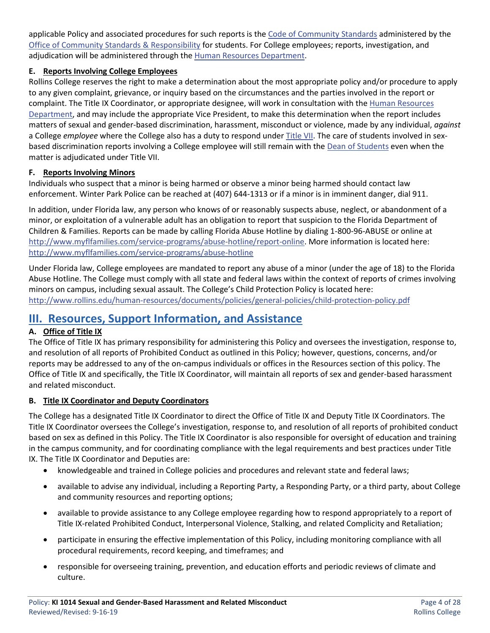applicable Policy and associated procedures for such reports is the [Code of Community Standards](http://www.rollins.edu/community-standards-responsibility/documents/code-of-community-standards.pdf) administered by the [Office of Community Standards & Responsibility](http://www.rollins.edu/community-standards-responsibility/index.html) for students. For College employees; reports, investigation, and adjudication will be administered through the [Human Resources Department.](http://www.rollins.edu/human-resources/index.html)

## **E. Reports Involving College Employees**

Rollins College reserves the right to make a determination about the most appropriate policy and/or procedure to apply to any given complaint, grievance, or inquiry based on the circumstances and the parties involved in the report or complaint. The Title IX Coordinator, or appropriate designee, will work in consultation with the [Human Resources](http://www.rollins.edu/human-resources/index.html)  [Department,](http://www.rollins.edu/human-resources/index.html) and may include the appropriate Vice President, to make this determination when the report includes matters of sexual and gender-based discrimination, harassment, misconduct or violence, made by any individual, *against* a College *employee* where the College also has a duty to respond unde[r Title VII.](http://www.rollins.edu/human-resources/documents/policies/conduct-performance/HR7450_Sexual%20Harassment_11.15.2016.pdf) The care of students involved in sexbased discrimination reports involving a College employee will still remain with the [Dean of Students](http://www.rollins.edu/dean-of-students/) even when the matter is adjudicated under Title VII.

## **F. Reports Involving Minors**

Individuals who suspect that a minor is being harmed or observe a minor being harmed should contact law enforcement. Winter Park Police can be reached at (407) 644-1313 or if a minor is in imminent danger, dial 911.

In addition, under Florida law, any person who knows of or reasonably suspects abuse, neglect, or abandonment of a minor, or exploitation of a vulnerable adult has an obligation to report that suspicion to the Florida Department of Children & Families. Reports can be made by calling Florida Abuse Hotline by dialing 1-800-96-ABUSE or online at [http://www.myflfamilies.com/service-programs/abuse-hotline/report-online.](http://www.myflfamilies.com/service-programs/abuse-hotline/report-online) More information is located here: <http://www.myflfamilies.com/service-programs/abuse-hotline>

Under Florida law, College employees are mandated to report any abuse of a minor (under the age of 18) to the Florida Abuse Hotline. The College must comply with all state and federal laws within the context of reports of crimes involving minors on campus, including sexual assault. The College's Child Protection Policy is located here: <http://www.rollins.edu/human-resources/documents/policies/general-policies/child-protection-policy.pdf>

## **III. Resources, Support Information, and Assistance**

## **A. Office of Title IX**

The Office of Title IX has primary responsibility for administering this Policy and oversees the investigation, response to, and resolution of all reports of Prohibited Conduct as outlined in this Policy; however, questions, concerns, and/or reports may be addressed to any of the on-campus individuals or offices in the Resources section of this policy. The Office of Title IX and specifically, the Title IX Coordinator, will maintain all reports of sex and gender-based harassment and related misconduct.

## **B. Title IX Coordinator and Deputy Coordinators**

The College has a designated Title IX Coordinator to direct the Office of Title IX and Deputy Title IX Coordinators. The Title IX Coordinator oversees the College's investigation, response to, and resolution of all reports of prohibited conduct based on sex as defined in this Policy. The Title IX Coordinator is also responsible for oversight of education and training in the campus community, and for coordinating compliance with the legal requirements and best practices under Title IX. The Title IX Coordinator and Deputies are:

- knowledgeable and trained in College policies and procedures and relevant state and federal laws;
- available to advise any individual, including a Reporting Party, a Responding Party, or a third party, about College and community resources and reporting options;
- available to provide assistance to any College employee regarding how to respond appropriately to a report of Title IX-related Prohibited Conduct, Interpersonal Violence, Stalking, and related Complicity and Retaliation;
- participate in ensuring the effective implementation of this Policy, including monitoring compliance with all procedural requirements, record keeping, and timeframes; and
- responsible for overseeing training, prevention, and education efforts and periodic reviews of climate and culture.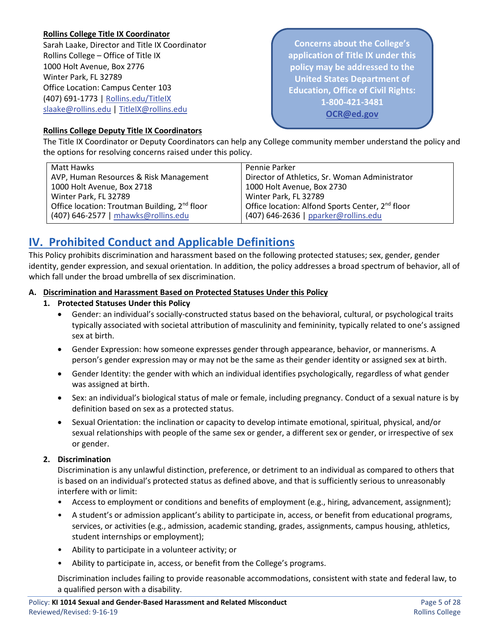### **Rollins College Title IX Coordinator**

Sarah Laake, Director and Title IX Coordinator Rollins College – Office of Title IX 1000 Holt Avenue, Box 2776 Winter Park, FL 32789 Office Location: Campus Center 103 (407) 691-1773 | [Rollins.edu/TitleIX](http://www.rollins.edu/sexual-misconduct/index.html) [slaake@rollins.edu](mailto:slaake@rollins.edu) | [TitleIX@rollins.edu](mailto:TitleIX@rollins.edu)

**Concerns about the College's application of Title IX under this policy may be addressed to the United States Department of Education, Office of Civil Rights: 1-800-421-3481 [OCR@ed.gov](mailto:OCR@ed.gov)**

#### **Rollins College Deputy Title IX Coordinators**

The Title IX Coordinator or Deputy Coordinators can help any College community member understand the policy and the options for resolving concerns raised under this policy.

| Matt Hawks                                                | Pennie Parker                                                |
|-----------------------------------------------------------|--------------------------------------------------------------|
| AVP, Human Resources & Risk Management                    | Director of Athletics, Sr. Woman Administrator               |
| 1000 Holt Avenue, Box 2718                                | 1000 Holt Avenue, Box 2730                                   |
| Winter Park, FL 32789                                     | Winter Park, FL 32789                                        |
| Office location: Troutman Building, 2 <sup>nd</sup> floor | Office location: Alfond Sports Center, 2 <sup>nd</sup> floor |
| (407) 646-2577   mhawks@rollins.edu                       | (407) 646-2636   pparker@rollins.edu                         |

## **IV. Prohibited Conduct and Applicable Definitions**

This Policy prohibits discrimination and harassment based on the following protected statuses; sex, gender, gender identity, gender expression, and sexual orientation. In addition, the policy addresses a broad spectrum of behavior, all of which fall under the broad umbrella of sex discrimination.

#### **A. Discrimination and Harassment Based on Protected Statuses Under this Policy**

- **1. Protected Statuses Under this Policy**
	- Gender: an individual's socially-constructed status based on the behavioral, cultural, or psychological traits typically associated with societal attribution of masculinity and femininity, typically related to one's assigned sex at birth.
	- Gender Expression: how someone expresses gender through appearance, behavior, or mannerisms. A person's gender expression may or may not be the same as their gender identity or assigned sex at birth.
	- Gender Identity: the gender with which an individual identifies psychologically, regardless of what gender was assigned at birth.
	- Sex: an individual's biological status of male or female, including pregnancy. Conduct of a sexual nature is by definition based on sex as a protected status.
	- Sexual Orientation: the inclination or capacity to develop intimate emotional, spiritual, physical, and/or sexual relationships with people of the same sex or gender, a different sex or gender, or irrespective of sex or gender.

#### **2. Discrimination**

Discrimination is any unlawful distinction, preference, or detriment to an individual as compared to others that is based on an individual's protected status as defined above, and that is sufficiently serious to unreasonably interfere with or limit:

- Access to employment or conditions and benefits of employment (e.g., hiring, advancement, assignment);
- A student's or admission applicant's ability to participate in, access, or benefit from educational programs, services, or activities (e.g., admission, academic standing, grades, assignments, campus housing, athletics, student internships or employment);
- Ability to participate in a volunteer activity; or
- Ability to participate in, access, or benefit from the College's programs.

Discrimination includes failing to provide reasonable accommodations, consistent with state and federal law, to a qualified person with a disability.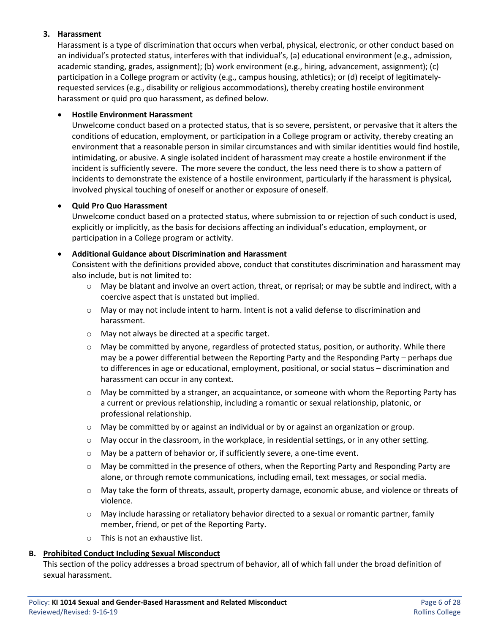#### **3. Harassment**

Harassment is a type of discrimination that occurs when verbal, physical, electronic, or other conduct based on an individual's protected status, interferes with that individual's, (a) educational environment (e.g., admission, academic standing, grades, assignment); (b) work environment (e.g., hiring, advancement, assignment); (c) participation in a College program or activity (e.g., campus housing, athletics); or (d) receipt of legitimatelyrequested services (e.g., disability or religious accommodations), thereby creating hostile environment harassment or quid pro quo harassment, as defined below.

#### • **Hostile Environment Harassment**

Unwelcome conduct based on a protected status, that is so severe, persistent, or pervasive that it alters the conditions of education, employment, or participation in a College program or activity, thereby creating an environment that a reasonable person in similar circumstances and with similar identities would find hostile, intimidating, or abusive. A single isolated incident of harassment may create a hostile environment if the incident is sufficiently severe. The more severe the conduct, the less need there is to show a pattern of incidents to demonstrate the existence of a hostile environment, particularly if the harassment is physical, involved physical touching of oneself or another or exposure of oneself.

#### • **Quid Pro Quo Harassment**

Unwelcome conduct based on a protected status, where submission to or rejection of such conduct is used, explicitly or implicitly, as the basis for decisions affecting an individual's education, employment, or participation in a College program or activity.

#### • **Additional Guidance about Discrimination and Harassment**

Consistent with the definitions provided above, conduct that constitutes discrimination and harassment may also include, but is not limited to:

- o May be blatant and involve an overt action, threat, or reprisal; or may be subtle and indirect, with a coercive aspect that is unstated but implied.
- $\circ$  May or may not include intent to harm. Intent is not a valid defense to discrimination and harassment.
- o May not always be directed at a specific target.
- o May be committed by anyone, regardless of protected status, position, or authority. While there may be a power differential between the Reporting Party and the Responding Party – perhaps due to differences in age or educational, employment, positional, or social status – discrimination and harassment can occur in any context.
- $\circ$  May be committed by a stranger, an acquaintance, or someone with whom the Reporting Party has a current or previous relationship, including a romantic or sexual relationship, platonic, or professional relationship.
- $\circ$  May be committed by or against an individual or by or against an organization or group.
- $\circ$  May occur in the classroom, in the workplace, in residential settings, or in any other setting.
- o May be a pattern of behavior or, if sufficiently severe, a one-time event.
- $\circ$  May be committed in the presence of others, when the Reporting Party and Responding Party are alone, or through remote communications, including email, text messages, or social media.
- o May take the form of threats, assault, property damage, economic abuse, and violence or threats of violence.
- o May include harassing or retaliatory behavior directed to a sexual or romantic partner, family member, friend, or pet of the Reporting Party.
- o This is not an exhaustive list.

#### **B. Prohibited Conduct Including Sexual Misconduct**

This section of the policy addresses a broad spectrum of behavior, all of which fall under the broad definition of sexual harassment.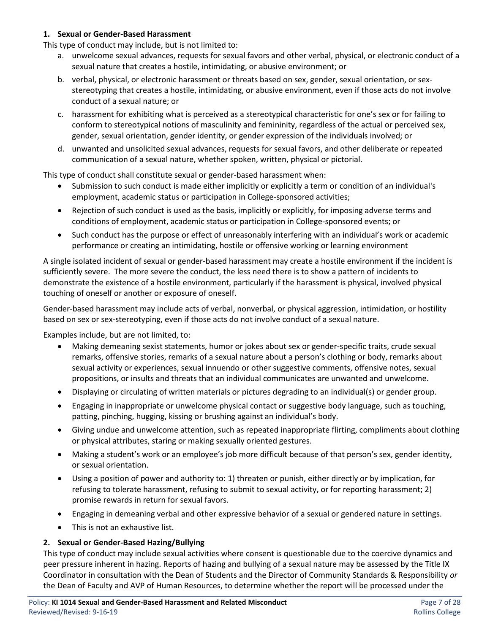#### **1. Sexual or Gender-Based Harassment**

This type of conduct may include, but is not limited to:

- a. unwelcome sexual advances, requests for sexual favors and other verbal, physical, or electronic conduct of a sexual nature that creates a hostile, intimidating, or abusive environment; or
- b. verbal, physical, or electronic harassment or threats based on sex, gender, sexual orientation, or sexstereotyping that creates a hostile, intimidating, or abusive environment, even if those acts do not involve conduct of a sexual nature; or
- c. harassment for exhibiting what is perceived as a stereotypical characteristic for one's sex or for failing to conform to stereotypical notions of masculinity and femininity, regardless of the actual or perceived sex, gender, sexual orientation, gender identity, or gender expression of the individuals involved; or
- d. unwanted and unsolicited sexual advances, requests for sexual favors, and other deliberate or repeated communication of a sexual nature, whether spoken, written, physical or pictorial.

This type of conduct shall constitute sexual or gender-based harassment when:

- Submission to such conduct is made either implicitly or explicitly a term or condition of an individual's employment, academic status or participation in College-sponsored activities;
- Rejection of such conduct is used as the basis, implicitly or explicitly, for imposing adverse terms and conditions of employment, academic status or participation in College-sponsored events; or
- Such conduct has the purpose or effect of unreasonably interfering with an individual's work or academic performance or creating an intimidating, hostile or offensive working or learning environment

A single isolated incident of sexual or gender-based harassment may create a hostile environment if the incident is sufficiently severe. The more severe the conduct, the less need there is to show a pattern of incidents to demonstrate the existence of a hostile environment, particularly if the harassment is physical, involved physical touching of oneself or another or exposure of oneself.

Gender-based harassment may include acts of verbal, nonverbal, or physical aggression, intimidation, or hostility based on sex or sex-stereotyping, even if those acts do not involve conduct of a sexual nature.

Examples include, but are not limited, to:

- Making demeaning sexist statements, humor or jokes about sex or gender-specific traits, crude sexual remarks, offensive stories, remarks of a sexual nature about a person's clothing or body, remarks about sexual activity or experiences, sexual innuendo or other suggestive comments, offensive notes, sexual propositions, or insults and threats that an individual communicates are unwanted and unwelcome.
- Displaying or circulating of written materials or pictures degrading to an individual(s) or gender group.
- Engaging in inappropriate or unwelcome physical contact or suggestive body language, such as touching, patting, pinching, hugging, kissing or brushing against an individual's body.
- Giving undue and unwelcome attention, such as repeated inappropriate flirting, compliments about clothing or physical attributes, staring or making sexually oriented gestures.
- Making a student's work or an employee's job more difficult because of that person's sex, gender identity, or sexual orientation.
- Using a position of power and authority to: 1) threaten or punish, either directly or by implication, for refusing to tolerate harassment, refusing to submit to sexual activity, or for reporting harassment; 2) promise rewards in return for sexual favors.
- Engaging in demeaning verbal and other expressive behavior of a sexual or gendered nature in settings.
- This is not an exhaustive list.

#### **2. Sexual or Gender-Based Hazing/Bullying**

This type of conduct may include sexual activities where consent is questionable due to the coercive dynamics and peer pressure inherent in hazing. Reports of hazing and bullying of a sexual nature may be assessed by the Title IX Coordinator in consultation with the Dean of Students and the Director of Community Standards & Responsibility *or* the Dean of Faculty and AVP of Human Resources, to determine whether the report will be processed under the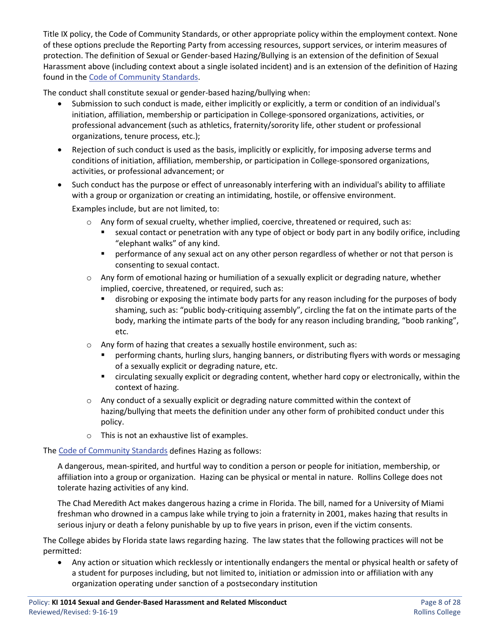Title IX policy, the Code of Community Standards, or other appropriate policy within the employment context. None of these options preclude the Reporting Party from accessing resources, support services, or interim measures of protection. The definition of Sexual or Gender-based Hazing/Bullying is an extension of the definition of Sexual Harassment above (including context about a single isolated incident) and is an extension of the definition of Hazing found in the [Code of Community Standards.](http://www.rollins.edu/community-standards-responsibility/documents/code-of-community-standards.pdf)

The conduct shall constitute sexual or gender-based hazing/bullying when:

- Submission to such conduct is made, either implicitly or explicitly, a term or condition of an individual's initiation, affiliation, membership or participation in College-sponsored organizations, activities, or professional advancement (such as athletics, fraternity/sorority life, other student or professional organizations, tenure process, etc.);
- Rejection of such conduct is used as the basis, implicitly or explicitly, for imposing adverse terms and conditions of initiation, affiliation, membership, or participation in College-sponsored organizations, activities, or professional advancement; or
- Such conduct has the purpose or effect of unreasonably interfering with an individual's ability to affiliate with a group or organization or creating an intimidating, hostile, or offensive environment.

Examples include, but are not limited, to:

- o Any form of sexual cruelty, whether implied, coercive, threatened or required, such as:
	- sexual contact or penetration with any type of object or body part in any bodily orifice, including "elephant walks" of any kind.
	- **•** performance of any sexual act on any other person regardless of whether or not that person is consenting to sexual contact.
- $\circ$  Any form of emotional hazing or humiliation of a sexually explicit or degrading nature, whether implied, coercive, threatened, or required, such as:
	- disrobing or exposing the intimate body parts for any reason including for the purposes of body shaming, such as: "public body-critiquing assembly", circling the fat on the intimate parts of the body, marking the intimate parts of the body for any reason including branding, "boob ranking", etc.
- o Any form of hazing that creates a sexually hostile environment, such as:
	- performing chants, hurling slurs, hanging banners, or distributing flyers with words or messaging of a sexually explicit or degrading nature, etc.
	- circulating sexually explicit or degrading content, whether hard copy or electronically, within the context of hazing.
- $\circ$  Any conduct of a sexually explicit or degrading nature committed within the context of hazing/bullying that meets the definition under any other form of prohibited conduct under this policy.
- o This is not an exhaustive list of examples.

The [Code of Community Standards](http://www.rollins.edu/community-standards-responsibility/documents/code-of-community-standards.pdf) defines Hazing as follows:

A dangerous, mean-spirited, and hurtful way to condition a person or people for initiation, membership, or affiliation into a group or organization. Hazing can be physical or mental in nature. Rollins College does not tolerate hazing activities of any kind.

The Chad Meredith Act makes dangerous hazing a crime in Florida. The bill, named for a University of Miami freshman who drowned in a campus lake while trying to join a fraternity in 2001, makes hazing that results in serious injury or death a felony punishable by up to five years in prison, even if the victim consents.

The College abides by Florida state laws regarding hazing. The law states that the following practices will not be permitted:

• Any action or situation which recklessly or intentionally endangers the mental or physical health or safety of a student for purposes including, but not limited to, initiation or admission into or affiliation with any organization operating under sanction of a postsecondary institution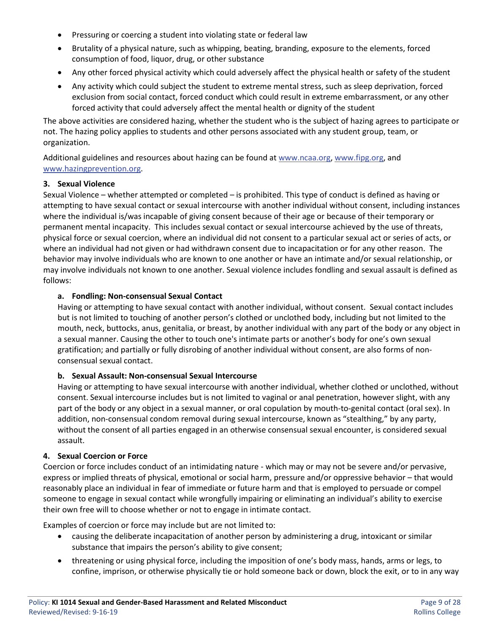- Pressuring or coercing a student into violating state or federal law
- Brutality of a physical nature, such as whipping, beating, branding, exposure to the elements, forced consumption of food, liquor, drug, or other substance
- Any other forced physical activity which could adversely affect the physical health or safety of the student
- Any activity which could subject the student to extreme mental stress, such as sleep deprivation, forced exclusion from social contact, forced conduct which could result in extreme embarrassment, or any other forced activity that could adversely affect the mental health or dignity of the student

The above activities are considered hazing, whether the student who is the subject of hazing agrees to participate or not. The hazing policy applies to students and other persons associated with any student group, team, or organization.

Additional guidelines and resources about hazing can be found at [www.ncaa.org,](http://www.ncaa.org/) [www.fipg.org,](http://www.fipg.org/) and [www.hazingprevention.org.](http://www.hazingprevention.org/)

#### **3. Sexual Violence**

Sexual Violence – whether attempted or completed – is prohibited. This type of conduct is defined as having or attempting to have sexual contact or sexual intercourse with another individual without consent, including instances where the individual is/was incapable of giving consent because of their age or because of their temporary or permanent mental incapacity. This includes sexual contact or sexual intercourse achieved by the use of threats, physical force or sexual coercion, where an individual did not consent to a particular sexual act or series of acts, or where an individual had not given or had withdrawn consent due to incapacitation or for any other reason. The behavior may involve individuals who are known to one another or have an intimate and/or sexual relationship, or may involve individuals not known to one another. Sexual violence includes fondling and sexual assault is defined as follows:

#### **a. Fondling: Non-consensual Sexual Contact**

Having or attempting to have sexual contact with another individual, without consent. Sexual contact includes but is not limited to touching of another person's clothed or unclothed body, including but not limited to the mouth, neck, buttocks, anus, genitalia, or breast, by another individual with any part of the body or any object in a sexual manner. Causing the other to touch one's intimate parts or another's body for one's own sexual gratification; and partially or fully disrobing of another individual without consent, are also forms of nonconsensual sexual contact.

#### **b. Sexual Assault: Non-consensual Sexual Intercourse**

Having or attempting to have sexual intercourse with another individual, whether clothed or unclothed, without consent. Sexual intercourse includes but is not limited to vaginal or anal penetration, however slight, with any part of the body or any object in a sexual manner, or oral copulation by mouth-to-genital contact (oral sex). In addition, non-consensual condom removal during sexual intercourse, known as "stealthing," by any party, without the consent of all parties engaged in an otherwise consensual sexual encounter, is considered sexual assault.

#### **4. Sexual Coercion or Force**

Coercion or force includes conduct of an intimidating nature - which may or may not be severe and/or pervasive, express or implied threats of physical, emotional or social harm, pressure and/or oppressive behavior – that would reasonably place an individual in fear of immediate or future harm and that is employed to persuade or compel someone to engage in sexual contact while wrongfully impairing or eliminating an individual's ability to exercise their own free will to choose whether or not to engage in intimate contact.

Examples of coercion or force may include but are not limited to:

- causing the deliberate incapacitation of another person by administering a drug, intoxicant or similar substance that impairs the person's ability to give consent;
- threatening or using physical force, including the imposition of one's body mass, hands, arms or legs, to confine, imprison, or otherwise physically tie or hold someone back or down, block the exit, or to in any way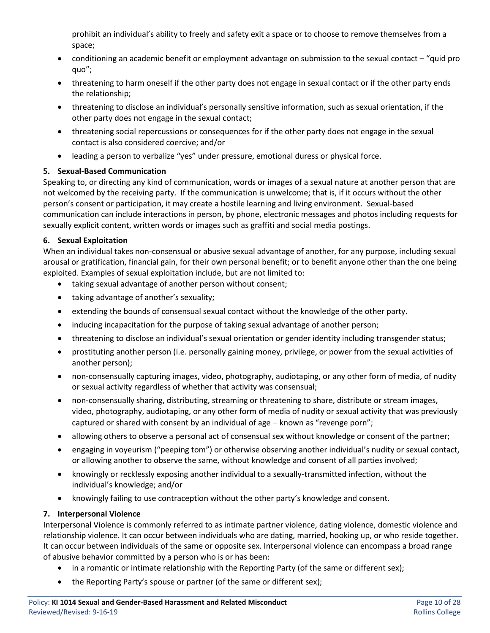prohibit an individual's ability to freely and safety exit a space or to choose to remove themselves from a space;

- conditioning an academic benefit or employment advantage on submission to the sexual contact "quid pro quo";
- threatening to harm oneself if the other party does not engage in sexual contact or if the other party ends the relationship;
- threatening to disclose an individual's personally sensitive information, such as sexual orientation, if the other party does not engage in the sexual contact;
- threatening social repercussions or consequences for if the other party does not engage in the sexual contact is also considered coercive; and/or
- leading a person to verbalize "yes" under pressure, emotional duress or physical force.

## **5. Sexual-Based Communication**

Speaking to, or directing any kind of communication, words or images of a sexual nature at another person that are not welcomed by the receiving party. If the communication is unwelcome; that is, if it occurs without the other person's consent or participation, it may create a hostile learning and living environment. Sexual-based communication can include interactions in person, by phone, electronic messages and photos including requests for sexually explicit content, written words or images such as graffiti and social media postings.

#### **6. Sexual Exploitation**

When an individual takes non-consensual or abusive sexual advantage of another, for any purpose, including sexual arousal or gratification, financial gain, for their own personal benefit; or to benefit anyone other than the one being exploited. Examples of sexual exploitation include, but are not limited to:

- taking sexual advantage of another person without consent;
- taking advantage of another's sexuality;
- extending the bounds of consensual sexual contact without the knowledge of the other party.
- inducing incapacitation for the purpose of taking sexual advantage of another person;
- threatening to disclose an individual's sexual orientation or gender identity including transgender status;
- prostituting another person (i.e. personally gaining money, privilege, or power from the sexual activities of another person);
- non-consensually capturing images, video, photography, audiotaping, or any other form of media, of nudity or sexual activity regardless of whether that activity was consensual;
- non-consensually sharing, distributing, streaming or threatening to share, distribute or stream images, video, photography, audiotaping, or any other form of media of nudity or sexual activity that was previously captured or shared with consent by an individual of age − known as "revenge porn";
- allowing others to observe a personal act of consensual sex without knowledge or consent of the partner;
- engaging in voyeurism ("peeping tom") or otherwise observing another individual's nudity or sexual contact, or allowing another to observe the same, without knowledge and consent of all parties involved;
- knowingly or recklessly exposing another individual to a sexually-transmitted infection, without the individual's knowledge; and/or
- knowingly failing to use contraception without the other party's knowledge and consent.

#### **7. Interpersonal Violence**

Interpersonal Violence is commonly referred to as intimate partner violence, dating violence, domestic violence and relationship violence. It can occur between individuals who are dating, married, hooking up, or who reside together. It can occur between individuals of the same or opposite sex. Interpersonal violence can encompass a broad range of abusive behavior committed by a person who is or has been:

- in a romantic or intimate relationship with the Reporting Party (of the same or different sex);
- the Reporting Party's spouse or partner (of the same or different sex);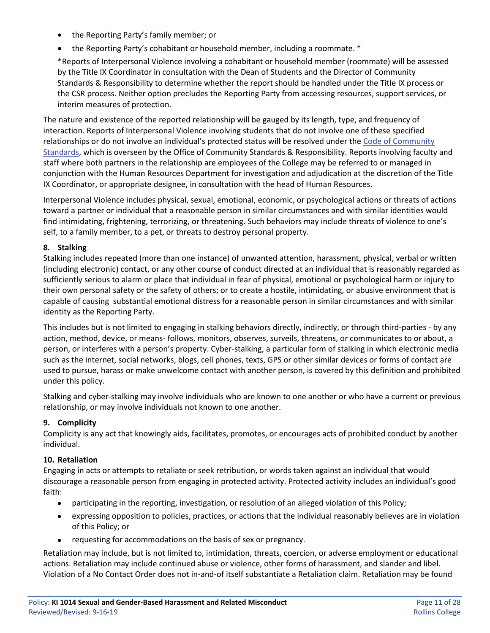- the Reporting Party's family member; or
- the Reporting Party's cohabitant or household member, including a roommate. \*

\*Reports of Interpersonal Violence involving a cohabitant or household member (roommate) will be assessed by the Title IX Coordinator in consultation with the Dean of Students and the Director of Community Standards & Responsibility to determine whether the report should be handled under the Title IX process or the CSR process. Neither option precludes the Reporting Party from accessing resources, support services, or interim measures of protection.

The nature and existence of the reported relationship will be gauged by its length, type, and frequency of interaction. Reports of Interpersonal Violence involving students that do not involve one of these specified relationships or do not involve an individual's protected status will be resolved under the [Code of Community](http://www.rollins.edu/community-standards-responsibility/documents/code-of-community-standards.pdf)  [Standards,](http://www.rollins.edu/community-standards-responsibility/documents/code-of-community-standards.pdf) which is overseen by the Office of Community Standards & Responsibility. Reports involving faculty and staff where both partners in the relationship are employees of the College may be referred to or managed in conjunction with the Human Resources Department for investigation and adjudication at the discretion of the Title IX Coordinator, or appropriate designee, in consultation with the head of Human Resources.

Interpersonal Violence includes physical, sexual, emotional, economic, or psychological actions or threats of actions toward a partner or individual that a reasonable person in similar circumstances and with similar identities would find intimidating, frightening, terrorizing, or threatening. Such behaviors may include threats of violence to one's self, to a family member, to a pet, or threats to destroy personal property.

## **8. Stalking**

Stalking includes repeated (more than one instance) of unwanted attention, harassment, physical, verbal or written (including electronic) contact, or any other course of conduct directed at an individual that is reasonably regarded as sufficiently serious to alarm or place that individual in fear of physical, emotional or psychological harm or injury to their own personal safety or the safety of others; or to create a hostile, intimidating, or abusive environment that is capable of causing substantial emotional distress for a reasonable person in similar circumstances and with similar identity as the Reporting Party.

This includes but is not limited to engaging in stalking behaviors directly, indirectly, or through third-parties - by any action, method, device, or means- follows, monitors, observes, surveils, threatens, or communicates to or about, a person, or interferes with a person's property. Cyber-stalking, a particular form of stalking in which electronic media such as the internet, social networks, blogs, cell phones, texts, GPS or other similar devices or forms of contact are used to pursue, harass or make unwelcome contact with another person, is covered by this definition and prohibited under this policy.

Stalking and cyber-stalking may involve individuals who are known to one another or who have a current or previous relationship, or may involve individuals not known to one another.

#### **9. Complicity**

Complicity is any act that knowingly aids, facilitates, promotes, or encourages acts of prohibited conduct by another individual.

#### **10. Retaliation**

Engaging in acts or attempts to retaliate or seek retribution, or words taken against an individual that would discourage a reasonable person from engaging in protected activity. Protected activity includes an individual's good faith:

- participating in the reporting, investigation, or resolution of an alleged violation of this Policy;
- expressing opposition to policies, practices, or actions that the individual reasonably believes are in violation of this Policy; or
- requesting for accommodations on the basis of sex or pregnancy.

Retaliation may include, but is not limited to, intimidation, threats, coercion, or adverse employment or educational actions. Retaliation may include continued abuse or violence, other forms of harassment, and slander and libel. Violation of a No Contact Order does not in-and-of itself substantiate a Retaliation claim. Retaliation may be found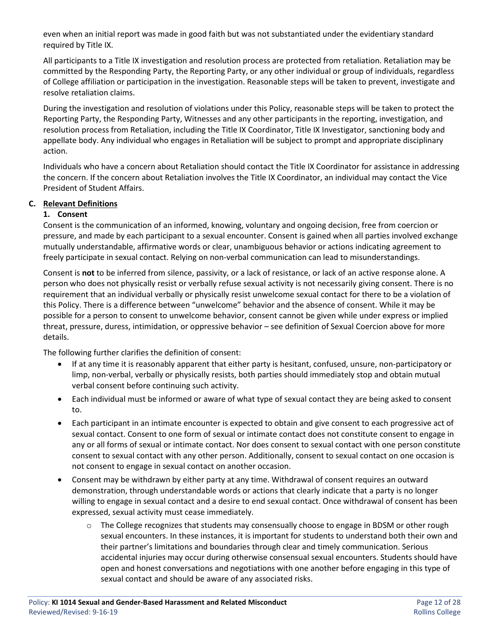even when an initial report was made in good faith but was not substantiated under the evidentiary standard required by Title IX.

All participants to a Title IX investigation and resolution process are protected from retaliation. Retaliation may be committed by the Responding Party, the Reporting Party, or any other individual or group of individuals, regardless of College affiliation or participation in the investigation. Reasonable steps will be taken to prevent, investigate and resolve retaliation claims.

During the investigation and resolution of violations under this Policy, reasonable steps will be taken to protect the Reporting Party, the Responding Party, Witnesses and any other participants in the reporting, investigation, and resolution process from Retaliation, including the Title IX Coordinator, Title IX Investigator, sanctioning body and appellate body. Any individual who engages in Retaliation will be subject to prompt and appropriate disciplinary action.

Individuals who have a concern about Retaliation should contact the Title IX Coordinator for assistance in addressing the concern. If the concern about Retaliation involves the Title IX Coordinator, an individual may contact the Vice President of Student Affairs.

#### **C. Relevant Definitions**

## **1. Consent**

Consent is the communication of an informed, knowing, voluntary and ongoing decision, free from coercion or pressure, and made by each participant to a sexual encounter. Consent is gained when all parties involved exchange mutually understandable, affirmative words or clear, unambiguous behavior or actions indicating agreement to freely participate in sexual contact. Relying on non-verbal communication can lead to misunderstandings.

Consent is **not** to be inferred from silence, passivity, or a lack of resistance, or lack of an active response alone. A person who does not physically resist or verbally refuse sexual activity is not necessarily giving consent. There is no requirement that an individual verbally or physically resist unwelcome sexual contact for there to be a violation of this Policy. There is a difference between "unwelcome" behavior and the absence of consent. While it may be possible for a person to consent to unwelcome behavior, consent cannot be given while under express or implied threat, pressure, duress, intimidation, or oppressive behavior – see definition of Sexual Coercion above for more details.

The following further clarifies the definition of consent:

- If at any time it is reasonably apparent that either party is hesitant, confused, unsure, non-participatory or limp, non-verbal, verbally or physically resists, both parties should immediately stop and obtain mutual verbal consent before continuing such activity.
- Each individual must be informed or aware of what type of sexual contact they are being asked to consent to.
- Each participant in an intimate encounter is expected to obtain and give consent to each progressive act of sexual contact. Consent to one form of sexual or intimate contact does not constitute consent to engage in any or all forms of sexual or intimate contact. Nor does consent to sexual contact with one person constitute consent to sexual contact with any other person. Additionally, consent to sexual contact on one occasion is not consent to engage in sexual contact on another occasion.
- Consent may be withdrawn by either party at any time. Withdrawal of consent requires an outward demonstration, through understandable words or actions that clearly indicate that a party is no longer willing to engage in sexual contact and a desire to end sexual contact. Once withdrawal of consent has been expressed, sexual activity must cease immediately.
	- $\circ$  The College recognizes that students may consensually choose to engage in BDSM or other rough sexual encounters. In these instances, it is important for students to understand both their own and their partner's limitations and boundaries through clear and timely communication. Serious accidental injuries may occur during otherwise consensual sexual encounters. Students should have open and honest conversations and negotiations with one another before engaging in this type of sexual contact and should be aware of any associated risks.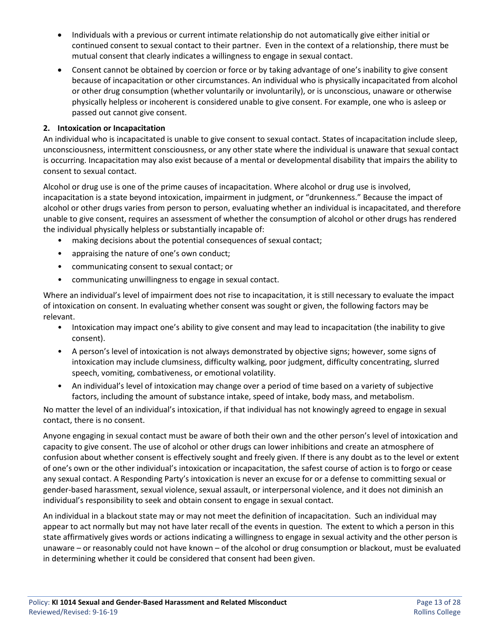- Individuals with a previous or current intimate relationship do not automatically give either initial or continued consent to sexual contact to their partner. Even in the context of a relationship, there must be mutual consent that clearly indicates a willingness to engage in sexual contact.
- Consent cannot be obtained by coercion or force or by taking advantage of one's inability to give consent because of incapacitation or other circumstances. An individual who is physically incapacitated from alcohol or other drug consumption (whether voluntarily or involuntarily), or is unconscious, unaware or otherwise physically helpless or incoherent is considered unable to give consent. For example, one who is asleep or passed out cannot give consent.

#### **2. Intoxication or Incapacitation**

An individual who is incapacitated is unable to give consent to sexual contact. States of incapacitation include sleep, unconsciousness, intermittent consciousness, or any other state where the individual is unaware that sexual contact is occurring. Incapacitation may also exist because of a mental or developmental disability that impairs the ability to consent to sexual contact.

Alcohol or drug use is one of the prime causes of incapacitation. Where alcohol or drug use is involved, incapacitation is a state beyond intoxication, impairment in judgment, or "drunkenness." Because the impact of alcohol or other drugs varies from person to person, evaluating whether an individual is incapacitated, and therefore unable to give consent, requires an assessment of whether the consumption of alcohol or other drugs has rendered the individual physically helpless or substantially incapable of:

- making decisions about the potential consequences of sexual contact;
- appraising the nature of one's own conduct;
- communicating consent to sexual contact; or
- communicating unwillingness to engage in sexual contact.

Where an individual's level of impairment does not rise to incapacitation, it is still necessary to evaluate the impact of intoxication on consent. In evaluating whether consent was sought or given, the following factors may be relevant.

- Intoxication may impact one's ability to give consent and may lead to incapacitation (the inability to give consent).
- A person's level of intoxication is not always demonstrated by objective signs; however, some signs of intoxication may include clumsiness, difficulty walking, poor judgment, difficulty concentrating, slurred speech, vomiting, combativeness, or emotional volatility.
- An individual's level of intoxication may change over a period of time based on a variety of subjective factors, including the amount of substance intake, speed of intake, body mass, and metabolism.

No matter the level of an individual's intoxication, if that individual has not knowingly agreed to engage in sexual contact, there is no consent.

Anyone engaging in sexual contact must be aware of both their own and the other person's level of intoxication and capacity to give consent. The use of alcohol or other drugs can lower inhibitions and create an atmosphere of confusion about whether consent is effectively sought and freely given. If there is any doubt as to the level or extent of one's own or the other individual's intoxication or incapacitation, the safest course of action is to forgo or cease any sexual contact. A Responding Party's intoxication is never an excuse for or a defense to committing sexual or gender-based harassment, sexual violence, sexual assault, or interpersonal violence, and it does not diminish an individual's responsibility to seek and obtain consent to engage in sexual contact.

An individual in a blackout state may or may not meet the definition of incapacitation. Such an individual may appear to act normally but may not have later recall of the events in question. The extent to which a person in this state affirmatively gives words or actions indicating a willingness to engage in sexual activity and the other person is unaware – or reasonably could not have known – of the alcohol or drug consumption or blackout, must be evaluated in determining whether it could be considered that consent had been given.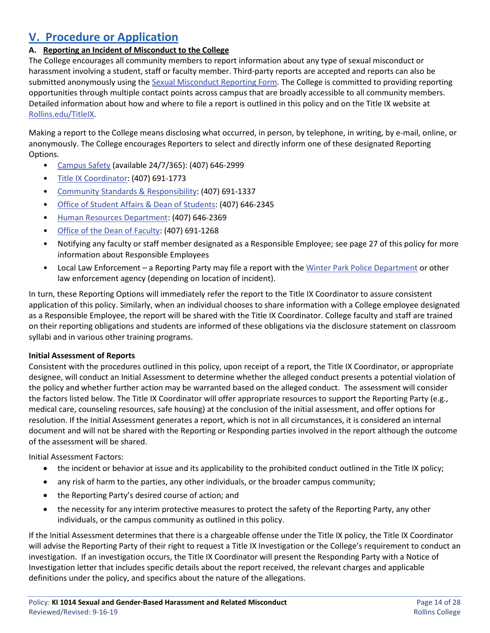## **V. Procedure or Application**

## **A. Reporting an Incident of Misconduct to the College**

The College encourages all community members to report information about any type of sexual misconduct or harassment involving a student, staff or faculty member. Third-party reports are accepted and reports can also be submitted anonymously using the [Sexual Misconduct Reporting Form.](https://cm.maxient.com/reportingform.php?RollinsCollege&layout_id=4) The College is committed to providing reporting opportunities through multiple contact points across campus that are broadly accessible to all community members. Detailed information about how and where to file a report is outlined in this policy and on the Title IX website at [Rollins.edu/TitleIX.](http://www.rollins.edu/sexual-misconduct/index.html)

Making a report to the College means disclosing what occurred, in person, by telephone, in writing, by e-mail, online, or anonymously. The College encourages Reporters to select and directly inform one of these designated Reporting Options.

- [Campus Safety](http://www.rollins.edu/campus-safety/index.html) (available 24/7/365): (407) 646-2999
- [Title IX Coordinator:](http://www.rollins.edu/sexual-misconduct/index.html) (407) 691-1773
- [Community Standards & Responsibility:](http://www.rollins.edu/community-standards-responsibility/) (407) 691-1337
- [Office of Student Affairs & Dean of Students:](http://www.rollins.edu/student-affairs/index.html) (407) 646-2345
- [Human Resources Department:](http://www.rollins.edu/human-resources/index.html) (407) 646-2369
- [Office of the Dean of Faculty:](http://www.rollins.edu/dean-of-faculty/) (407) 691-1268
- Notifying any faculty or staff member designated as a Responsible Employee; see page 27 of this policy for more information about Responsible Employees
- Local Law Enforcement a Reporting Party may file a report with th[e Winter Park Police Department](https://wppd.org/) or other law enforcement agency (depending on location of incident).

In turn, these Reporting Options will immediately refer the report to the Title IX Coordinator to assure consistent application of this policy. Similarly, when an individual chooses to share information with a College employee designated as a Responsible Employee, the report will be shared with the Title IX Coordinator. College faculty and staff are trained on their reporting obligations and students are informed of these obligations via the disclosure statement on classroom syllabi and in various other training programs.

#### **Initial Assessment of Reports**

Consistent with the procedures outlined in this policy, upon receipt of a report, the Title IX Coordinator, or appropriate designee, will conduct an Initial Assessment to determine whether the alleged conduct presents a potential violation of the policy and whether further action may be warranted based on the alleged conduct. The assessment will consider the factors listed below. The Title IX Coordinator will offer appropriate resources to support the Reporting Party (e.g., medical care, counseling resources, safe housing) at the conclusion of the initial assessment, and offer options for resolution. If the Initial Assessment generates a report, which is not in all circumstances, it is considered an internal document and will not be shared with the Reporting or Responding parties involved in the report although the outcome of the assessment will be shared.

Initial Assessment Factors:

- the incident or behavior at issue and its applicability to the prohibited conduct outlined in the Title IX policy;
- any risk of harm to the parties, any other individuals, or the broader campus community;
- the Reporting Party's desired course of action; and
- the necessity for any interim protective measures to protect the safety of the Reporting Party, any other individuals, or the campus community as outlined in this policy.

If the Initial Assessment determines that there is a chargeable offense under the Title IX policy, the Title IX Coordinator will advise the Reporting Party of their right to request a Title IX Investigation or the College's requirement to conduct an investigation. If an investigation occurs, the Title IX Coordinator will present the Responding Party with a Notice of Investigation letter that includes specific details about the report received, the relevant charges and applicable definitions under the policy, and specifics about the nature of the allegations.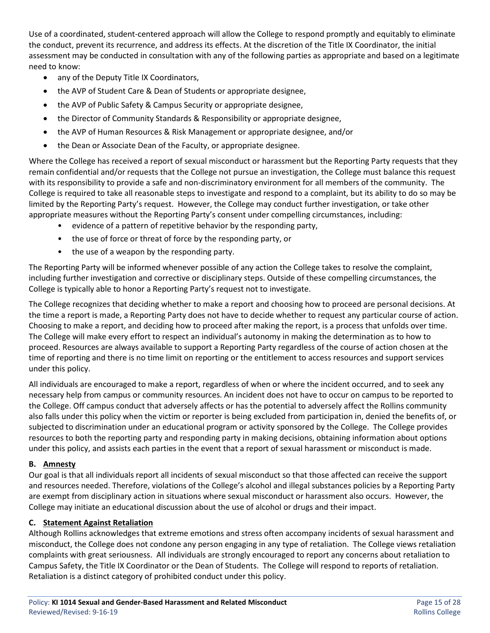Use of a coordinated, student-centered approach will allow the College to respond promptly and equitably to eliminate the conduct, prevent its recurrence, and address its effects. At the discretion of the Title IX Coordinator, the initial assessment may be conducted in consultation with any of the following parties as appropriate and based on a legitimate need to know:

- any of the Deputy Title IX Coordinators,
- the AVP of Student Care & Dean of Students or appropriate designee,
- the AVP of Public Safety & Campus Security or appropriate designee,
- the Director of Community Standards & Responsibility or appropriate designee,
- the AVP of Human Resources & Risk Management or appropriate designee, and/or
- the Dean or Associate Dean of the Faculty, or appropriate designee.

Where the College has received a report of sexual misconduct or harassment but the Reporting Party requests that they remain confidential and/or requests that the College not pursue an investigation, the College must balance this request with its responsibility to provide a safe and non-discriminatory environment for all members of the community. The College is required to take all reasonable steps to investigate and respond to a complaint, but its ability to do so may be limited by the Reporting Party's request. However, the College may conduct further investigation, or take other appropriate measures without the Reporting Party's consent under compelling circumstances, including:

- evidence of a pattern of repetitive behavior by the responding party,
- the use of force or threat of force by the responding party, or
- the use of a weapon by the responding party.

The Reporting Party will be informed whenever possible of any action the College takes to resolve the complaint, including further investigation and corrective or disciplinary steps. Outside of these compelling circumstances, the College is typically able to honor a Reporting Party's request not to investigate.

The College recognizes that deciding whether to make a report and choosing how to proceed are personal decisions. At the time a report is made, a Reporting Party does not have to decide whether to request any particular course of action. Choosing to make a report, and deciding how to proceed after making the report, is a process that unfolds over time. The College will make every effort to respect an individual's autonomy in making the determination as to how to proceed. Resources are always available to support a Reporting Party regardless of the course of action chosen at the time of reporting and there is no time limit on reporting or the entitlement to access resources and support services under this policy.

All individuals are encouraged to make a report, regardless of when or where the incident occurred, and to seek any necessary help from campus or community resources. An incident does not have to occur on campus to be reported to the College. Off campus conduct that adversely affects or has the potential to adversely affect the Rollins community also falls under this policy when the victim or reporter is being excluded from participation in, denied the benefits of, or subjected to discrimination under an educational program or activity sponsored by the College. The College provides resources to both the reporting party and responding party in making decisions, obtaining information about options under this policy, and assists each parties in the event that a report of sexual harassment or misconduct is made.

#### **B. Amnesty**

Our goal is that all individuals report all incidents of sexual misconduct so that those affected can receive the support and resources needed. Therefore, violations of the College's alcohol and illegal substances policies by a Reporting Party are exempt from disciplinary action in situations where sexual misconduct or harassment also occurs. However, the College may initiate an educational discussion about the use of alcohol or drugs and their impact.

#### **C. Statement Against Retaliation**

Although Rollins acknowledges that extreme emotions and stress often accompany incidents of sexual harassment and misconduct, the College does not condone any person engaging in any type of retaliation. The College views retaliation complaints with great seriousness. All individuals are strongly encouraged to report any concerns about retaliation to Campus Safety, the Title IX Coordinator or the Dean of Students. The College will respond to reports of retaliation. Retaliation is a distinct category of prohibited conduct under this policy.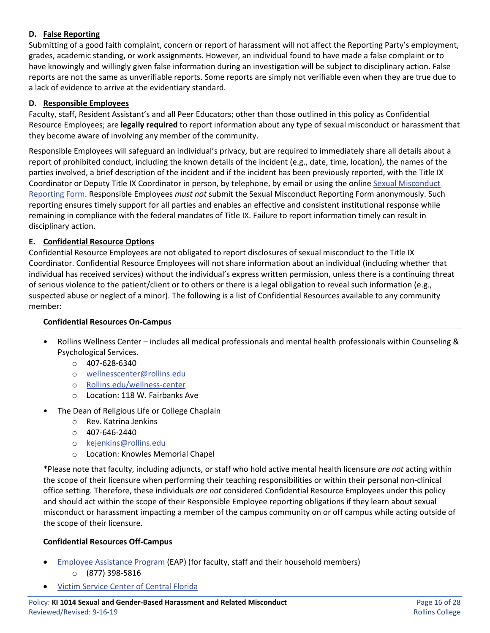## **D. False Reporting**

Submitting of a good faith complaint, concern or report of harassment will not affect the Reporting Party's employment, grades, academic standing, or work assignments. However, an individual found to have made a false complaint or to have knowingly and willingly given false information during an investigation will be subject to disciplinary action. False reports are not the same as unverifiable reports. Some reports are simply not verifiable even when they are true due to a lack of evidence to arrive at the evidentiary standard.

#### **D. Responsible Employees**

Faculty, staff, Resident Assistant's and all Peer Educators; other than those outlined in this policy as Confidential Resource Employees; are **legally required** to report information about any type of sexual misconduct or harassment that they become aware of involving any member of the community.

Responsible Employees will safeguard an individual's privacy, but are required to immediately share all details about a report of prohibited conduct, including the known details of the incident (e.g., date, time, location), the names of the parties involved, a brief description of the incident and if the incident has been previously reported, with the Title IX Coordinator or Deputy Title IX Coordinator in person, by telephone, by email or using the onlin[e Sexual Misconduct](https://cm.maxient.com/reportingform.php?RollinsCollege&layout_id=4)  [Reporting Form.](https://cm.maxient.com/reportingform.php?RollinsCollege&layout_id=4) Responsible Employees *must not* submit the Sexual Misconduct Reporting Form anonymously. Such reporting ensures timely support for all parties and enables an effective and consistent institutional response while remaining in compliance with the federal mandates of Title IX. Failure to report information timely can result in disciplinary action.

#### **E. Confidential Resource Options**

Confidential Resource Employees are not obligated to report disclosures of sexual misconduct to the Title IX Coordinator. Confidential Resource Employees will not share information about an individual (including whether that individual has received services) without the individual's express written permission, unless there is a continuing threat of serious violence to the patient/client or to others or there is a legal obligation to reveal such information (e.g., suspected abuse or neglect of a minor). The following is a list of Confidential Resources available to any community member:

#### **Confidential Resources On-Campus**

- Rollins Wellness Center includes all medical professionals and mental health professionals within Counseling & Psychological Services.
	- o 407-628-6340
	- o [wellnesscenter@rollins.edu](mailto:wellnesscenter@rollins.edu)
	- o [Rollins.edu/wellness-center](http://www.rollins.edu/wellness-center/index.html)
	- o Location: 118 W. Fairbanks Ave
- The Dean of Religious Life or College Chaplain
	- o Rev. Katrina Jenkins
	- $O$  407-646-2440
	- o [kejenkins@rollins.edu](mailto:kejenkins@rollins.edu)
	- o Location: Knowles Memorial Chapel

\*Please note that faculty, including adjuncts, or staff who hold active mental health licensure *are not* acting within the scope of their licensure when performing their teaching responsibilities or within their personal non-clinical office setting. Therefore, these individuals *are not* considered Confidential Resource Employees under this policy and should act within the scope of their Responsible Employee reporting obligations if they learn about sexual misconduct or harassment impacting a member of the campus community on or off campus while acting outside of the scope of their licensure.

#### **Confidential Resources Off-Campus**

- [Employee Assistance Program](https://www.resourcesforliving.com/login.aspx) (EAP) (for faculty, staff and their household members) o (877) 398-5816
- [Victim Service Center of Central Florida](https://www.victimservicecenter.org/)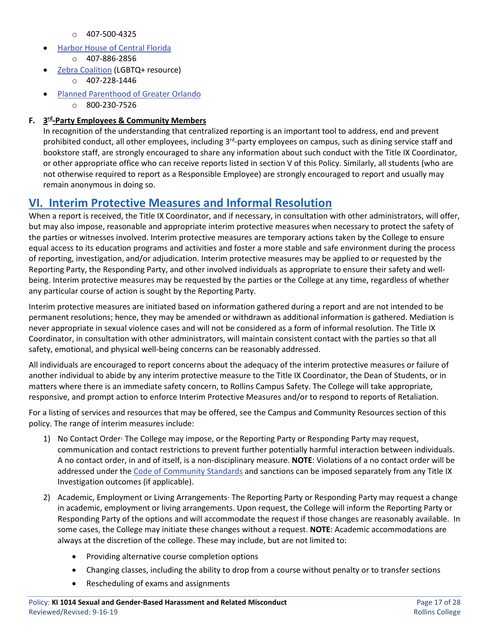- o 407-500-4325
- [Harbor House of Central Florida](https://www.harborhousefl.com/)
	- o 407-886-2856
- **[Zebra Coalition](http://www.zebrayouth.org/) (LGBTQ+ resource)** 
	- o 407-228-1446
- [Planned Parenthood of Greater Orlando](https://www.plannedparenthood.org/planned-parenthood-southwest-central-florida)
	- o 800-230-7526

## **F. 3rd-Party Employees & Community Members**

In recognition of the understanding that centralized reporting is an important tool to address, end and prevent prohibited conduct, all other employees, including  $3^{rd}$ -party employees on campus, such as dining service staff and bookstore staff, are strongly encouraged to share any information about such conduct with the Title IX Coordinator, or other appropriate office who can receive reports listed in section V of this Policy. Similarly, all students (who are not otherwise required to report as a Responsible Employee) are strongly encouraged to report and usually may remain anonymous in doing so.

## **VI. Interim Protective Measures and Informal Resolution**

When a report is received, the Title IX Coordinator, and if necessary, in consultation with other administrators, will offer, but may also impose, reasonable and appropriate interim protective measures when necessary to protect the safety of the parties or witnesses involved. Interim protective measures are temporary actions taken by the College to ensure equal access to its education programs and activities and foster a more stable and safe environment during the process of reporting, investigation, and/or adjudication. Interim protective measures may be applied to or requested by the Reporting Party, the Responding Party, and other involved individuals as appropriate to ensure their safety and wellbeing. Interim protective measures may be requested by the parties or the College at any time, regardless of whether any particular course of action is sought by the Reporting Party.

Interim protective measures are initiated based on information gathered during a report and are not intended to be permanent resolutions; hence, they may be amended or withdrawn as additional information is gathered. Mediation is never appropriate in sexual violence cases and will not be considered as a form of informal resolution. The Title IX Coordinator, in consultation with other administrators, will maintain consistent contact with the parties so that all safety, emotional, and physical well-being concerns can be reasonably addressed.

All individuals are encouraged to report concerns about the adequacy of the interim protective measures or failure of another individual to abide by any interim protective measure to the Title IX Coordinator, the Dean of Students, or in matters where there is an immediate safety concern, to Rollins Campus Safety. The College will take appropriate, responsive, and prompt action to enforce Interim Protective Measures and/or to respond to reports of Retaliation.

For a listing of services and resources that may be offered, see the Campus and Community Resources section of this policy. The range of interim measures include:

- 1) No Contact Order· The College may impose, or the Reporting Party or Responding Party may request, communication and contact restrictions to prevent further potentially harmful interaction between individuals. A no contact order, in and of itself, is a non-disciplinary measure. **NOTE**: Violations of a no contact order will be addressed under the [Code of Community Standards](http://www.rollins.edu/community-standards-responsibility/documents/code-of-community-standards.pdf) and sanctions can be imposed separately from any Title IX Investigation outcomes (if applicable).
- 2) Academic, Employment or Living Arrangements· The Reporting Party or Responding Party may request a change in academic, employment or living arrangements. Upon request, the College will inform the Reporting Party or Responding Party of the options and will accommodate the request if those changes are reasonably available. In some cases, the College may initiate these changes without a request. **NOTE**: Academic accommodations are always at the discretion of the college. These may include, but are not limited to:
	- Providing alternative course completion options
	- Changing classes, including the ability to drop from a course without penalty or to transfer sections
	- Rescheduling of exams and assignments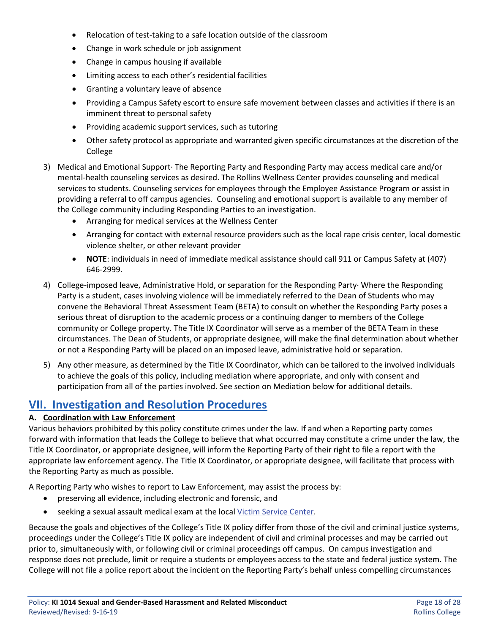- Relocation of test-taking to a safe location outside of the classroom
- Change in work schedule or job assignment
- Change in campus housing if available
- Limiting access to each other's residential facilities
- Granting a voluntary leave of absence
- Providing a Campus Safety escort to ensure safe movement between classes and activities if there is an imminent threat to personal safety
- Providing academic support services, such as tutoring
- Other safety protocol as appropriate and warranted given specific circumstances at the discretion of the College
- 3) Medical and Emotional Support· The Reporting Party and Responding Party may access medical care and/or mental-health counseling services as desired. The Rollins Wellness Center provides counseling and medical services to students. Counseling services for employees through the Employee Assistance Program or assist in providing a referral to off campus agencies. Counseling and emotional support is available to any member of the College community including Responding Parties to an investigation.
	- Arranging for medical services at the Wellness Center
	- Arranging for contact with external resource providers such as the local rape crisis center, local domestic violence shelter, or other relevant provider
	- **NOTE**: individuals in need of immediate medical assistance should call 911 or Campus Safety at (407) 646-2999.
- 4) College-imposed leave, Administrative Hold, or separation for the Responding Party· Where the Responding Party is a student, cases involving violence will be immediately referred to the Dean of Students who may convene the Behavioral Threat Assessment Team (BETA) to consult on whether the Responding Party poses a serious threat of disruption to the academic process or a continuing danger to members of the College community or College property. The Title IX Coordinator will serve as a member of the BETA Team in these circumstances. The Dean of Students, or appropriate designee, will make the final determination about whether or not a Responding Party will be placed on an imposed leave, administrative hold or separation.
- 5) Any other measure, as determined by the Title IX Coordinator, which can be tailored to the involved individuals to achieve the goals of this policy, including mediation where appropriate, and only with consent and participation from all of the parties involved. See section on Mediation below for additional details.

## **VII. Investigation and Resolution Procedures**

#### **A. Coordination with Law Enforcement**

Various behaviors prohibited by this policy constitute crimes under the law. If and when a Reporting party comes forward with information that leads the College to believe that what occurred may constitute a crime under the law, the Title IX Coordinator, or appropriate designee, will inform the Reporting Party of their right to file a report with the appropriate law enforcement agency. The Title IX Coordinator, or appropriate designee, will facilitate that process with the Reporting Party as much as possible.

A Reporting Party who wishes to report to Law Enforcement, may assist the process by:

- preserving all evidence, including electronic and forensic, and
- seeking a sexual assault medical exam at the loca[l Victim Service Center.](https://www.victimservicecenter.org/)

Because the goals and objectives of the College's Title IX policy differ from those of the civil and criminal justice systems, proceedings under the College's Title IX policy are independent of civil and criminal processes and may be carried out prior to, simultaneously with, or following civil or criminal proceedings off campus. On campus investigation and response does not preclude, limit or require a students or employees access to the state and federal justice system. The College will not file a police report about the incident on the Reporting Party's behalf unless compelling circumstances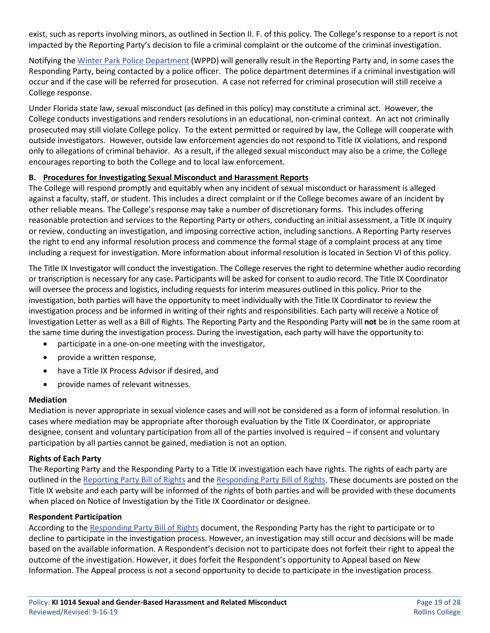exist, such as reports involving minors, as outlined in Section II. F. of this policy. The College's response to a report is not impacted by the Reporting Party's decision to file a criminal complaint or the outcome of the criminal investigation.

Notifying the [Winter Park Police Department](https://wppd.org/) (WPPD) will generally result in the Reporting Party and, in some cases the Responding Party, being contacted by a police officer. The police department determines if a criminal investigation will occur and if the case will be referred for prosecution. A case not referred for criminal prosecution will still receive a College response.

Under Florida state law, sexual misconduct (as defined in this policy) may constitute a criminal act. However, the College conducts investigations and renders resolutions in an educational, non-criminal context. An act not criminally prosecuted may still violate College policy. To the extent permitted or required by law, the College will cooperate with outside investigators. However, outside law enforcement agencies do not respond to Title IX violations, and respond only to allegations of criminal behavior. As a result, if the alleged sexual misconduct may also be a crime, the College encourages reporting to both the College and to local law enforcement.

#### **B. Procedures for Investigating Sexual Misconduct and Harassment Reports**

The College will respond promptly and equitably when any incident of sexual misconduct or harassment is alleged against a faculty, staff, or student. This includes a direct complaint or if the College becomes aware of an incident by other reliable means. The College's response may take a number of discretionary forms. This includes offering reasonable protection and services to the Reporting Party or others, conducting an initial assessment, a Title IX inquiry or review, conducting an investigation, and imposing corrective action, including sanctions. A Reporting Party reserves the right to end any informal resolution process and commence the formal stage of a complaint process at any time including a request for investigation. More information about informal resolution is located in Section VI of this policy.

The Title IX Investigator will conduct the investigation. The College reserves the right to determine whether audio recording or transcription is necessary for any case**.** Participants will be asked for consent to audio record. The Title IX Coordinator will oversee the process and logistics, including requests for interim measures outlined in this policy. Prior to the investigation, both parties will have the opportunity to meet individually with the Title IX Coordinator to review the investigation process and be informed in writing of their rights and responsibilities. Each party will receive a Notice of Investigation Letter as well as a Bill of Rights. The Reporting Party and the Responding Party will **not** be in the same room at the same time during the investigation process. During the investigation, each party will have the opportunity to:

- participate in a one-on-one meeting with the investigator,
- provide a written response,
- have a Title IX Process Advisor if desired, and
- provide names of relevant witnesses.

#### **Mediation**

Mediation is never appropriate in sexual violence cases and will not be considered as a form of informal resolution. In cases where mediation may be appropriate after thorough evaluation by the Title IX Coordinator, or appropriate designee, consent and voluntary participation from all of the parties involved is required – if consent and voluntary participation by all parties cannot be gained, mediation is not an option.

#### **Rights of Each Party**

The Reporting Party and the Responding Party to a Title IX investigation each have rights. The rights of each party are outlined in the [Reporting Party Bill of Rights](https://www.rollins.edu/sexual-misconduct/documents/reporting-party-bill-of-rights.pdf) and the [Responding Party Bill of Rights.](https://www.rollins.edu/sexual-misconduct/documents/responding-party-bill-of-rights.pdf) These documents are posted on the Title IX website and each party will be informed of the rights of both parties and will be provided with these documents when placed on Notice of Investigation by the Title IX Coordinator or designee.

#### **Respondent Participation**

According to th[e Responding Party Bill of Rights](https://www.rollins.edu/sexual-misconduct/documents/responding-party-bill-of-rights.pdf) document, the Responding Party has the right to participate or to decline to participate in the investigation process. However, an investigation may still occur and decisions will be made based on the available information. A Respondent's decision not to participate does not forfeit their right to appeal the outcome of the investigation. However, it does forfeit the Respondent's opportunity to Appeal based on New Information. The Appeal process is not a second opportunity to decide to participate in the investigation process.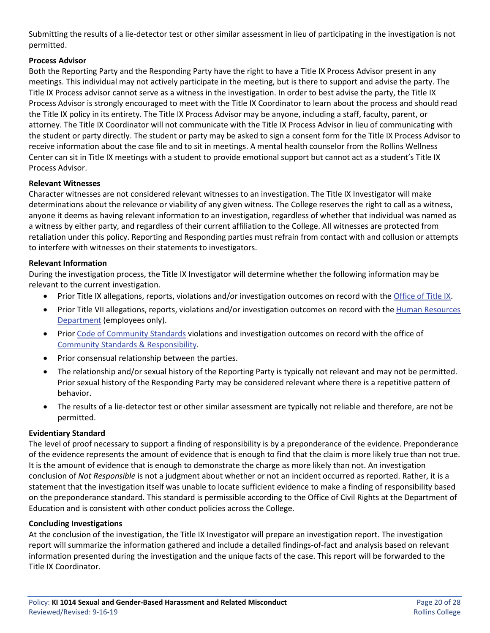Submitting the results of a lie-detector test or other similar assessment in lieu of participating in the investigation is not permitted.

## **Process Advisor**

Both the Reporting Party and the Responding Party have the right to have a Title IX Process Advisor present in any meetings. This individual may not actively participate in the meeting, but is there to support and advise the party. The Title IX Process advisor cannot serve as a witness in the investigation. In order to best advise the party, the Title IX Process Advisor is strongly encouraged to meet with the Title IX Coordinator to learn about the process and should read the Title IX policy in its entirety. The Title IX Process Advisor may be anyone, including a staff, faculty, parent, or attorney. The Title IX Coordinator will not communicate with the Title IX Process Advisor in lieu of communicating with the student or party directly. The student or party may be asked to sign a consent form for the Title IX Process Advisor to receive information about the case file and to sit in meetings. A mental health counselor from the Rollins Wellness Center can sit in Title IX meetings with a student to provide emotional support but cannot act as a student's Title IX Process Advisor.

#### **Relevant Witnesses**

Character witnesses are not considered relevant witnesses to an investigation. The Title IX Investigator will make determinations about the relevance or viability of any given witness. The College reserves the right to call as a witness, anyone it deems as having relevant information to an investigation, regardless of whether that individual was named as a witness by either party, and regardless of their current affiliation to the College. All witnesses are protected from retaliation under this policy. Reporting and Responding parties must refrain from contact with and collusion or attempts to interfere with witnesses on their statements to investigators.

#### **Relevant Information**

During the investigation process, the Title IX Investigator will determine whether the following information may be relevant to the current investigation.

- Prior Title IX allegations, reports, violations and/or investigation outcomes on record with the [Office of Title IX.](http://www.rollins.edu/sexual-misconduct/index.html)
- Prior Title VII allegations, reports, violations and/or investigation outcomes on record with the Human Resources [Department](http://www.rollins.edu/human-resources/index.html) (employees only).
- Prior [Code of Community Standards](http://www.rollins.edu/community-standards-responsibility/documents/rollins-college-code-of-community-standards.pdf) violations and investigation outcomes on record with the office of [Community Standards & Responsibility.](http://www.rollins.edu/community-standards-responsibility/index.html)
- Prior consensual relationship between the parties.
- The relationship and/or sexual history of the Reporting Party is typically not relevant and may not be permitted. Prior sexual history of the Responding Party may be considered relevant where there is a repetitive pattern of behavior.
- The results of a lie-detector test or other similar assessment are typically not reliable and therefore, are not be permitted.

#### **Evidentiary Standard**

The level of proof necessary to support a finding of responsibility is by a preponderance of the evidence. Preponderance of the evidence represents the amount of evidence that is enough to find that the claim is more likely true than not true. It is the amount of evidence that is enough to demonstrate the charge as more likely than not. An investigation conclusion of *Not Responsible* is not a judgment about whether or not an incident occurred as reported. Rather, it is a statement that the investigation itself was unable to locate sufficient evidence to make a finding of responsibility based on the preponderance standard. This standard is permissible according to the Office of Civil Rights at the Department of Education and is consistent with other conduct policies across the College.

#### **Concluding Investigations**

At the conclusion of the investigation, the Title IX Investigator will prepare an investigation report. The investigation report will summarize the information gathered and include a detailed findings-of-fact and analysis based on relevant information presented during the investigation and the unique facts of the case. This report will be forwarded to the Title IX Coordinator.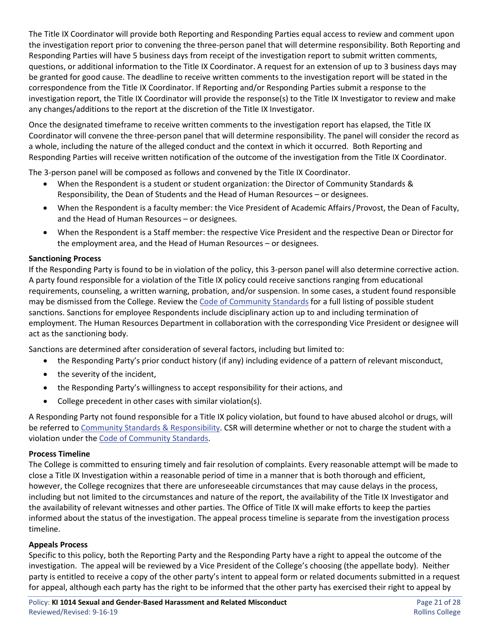The Title IX Coordinator will provide both Reporting and Responding Parties equal access to review and comment upon the investigation report prior to convening the three-person panel that will determine responsibility. Both Reporting and Responding Parties will have 5 business days from receipt of the investigation report to submit written comments, questions, or additional information to the Title IX Coordinator. A request for an extension of up to 3 business days may be granted for good cause. The deadline to receive written comments to the investigation report will be stated in the correspondence from the Title IX Coordinator. If Reporting and/or Responding Parties submit a response to the investigation report, the Title IX Coordinator will provide the response(s) to the Title IX Investigator to review and make any changes/additions to the report at the discretion of the Title IX Investigator.

Once the designated timeframe to receive written comments to the investigation report has elapsed, the Title IX Coordinator will convene the three-person panel that will determine responsibility. The panel will consider the record as a whole, including the nature of the alleged conduct and the context in which it occurred. Both Reporting and Responding Parties will receive written notification of the outcome of the investigation from the Title IX Coordinator.

The 3-person panel will be composed as follows and convened by the Title IX Coordinator.

- When the Respondent is a student or student organization: the Director of Community Standards & Responsibility, the Dean of Students and the Head of Human Resources – or designees.
- When the Respondent is a faculty member: the Vice President of Academic Affairs/ Provost, the Dean of Faculty, and the Head of Human Resources – or designees.
- When the Respondent is a Staff member: the respective Vice President and the respective Dean or Director for the employment area, and the Head of Human Resources – or designees.

#### **Sanctioning Process**

If the Responding Party is found to be in violation of the policy, this 3-person panel will also determine corrective action. A party found responsible for a violation of the Title IX policy could receive sanctions ranging from educational requirements, counseling, a written warning, probation, and/or suspension. In some cases, a student found responsible may be dismissed from the College. Review the [Code of Community Standards](http://www.rollins.edu/community-standards-responsibility/documents/rollins-college-code-of-community-standards.pdf) for a full listing of possible student sanctions. Sanctions for employee Respondents include disciplinary action up to and including termination of employment. The Human Resources Department in collaboration with the corresponding Vice President or designee will act as the sanctioning body.

Sanctions are determined after consideration of several factors, including but limited to:

- the Responding Party's prior conduct history (if any) including evidence of a pattern of relevant misconduct,
- the severity of the incident,
- the Responding Party's willingness to accept responsibility for their actions, and
- College precedent in other cases with similar violation(s).

A Responding Party not found responsible for a Title IX policy violation, but found to have abused alcohol or drugs, will be referred to [Community Standards & Responsibility.](http://www.rollins.edu/community-standards-responsibility/index.html) CSR will determine whether or not to charge the student with a violation under the [Code of Community Standards.](http://www.rollins.edu/community-standards-responsibility/documents/rollins-college-code-of-community-standards.pdf)

#### **Process Timeline**

The College is committed to ensuring timely and fair resolution of complaints. Every reasonable attempt will be made to close a Title IX Investigation within a reasonable period of time in a manner that is both thorough and efficient, however, the College recognizes that there are unforeseeable circumstances that may cause delays in the process, including but not limited to the circumstances and nature of the report, the availability of the Title IX Investigator and the availability of relevant witnesses and other parties. The Office of Title IX will make efforts to keep the parties informed about the status of the investigation. The appeal process timeline is separate from the investigation process timeline.

#### **Appeals Process**

Specific to this policy, both the Reporting Party and the Responding Party have a right to appeal the outcome of the investigation. The appeal will be reviewed by a Vice President of the College's choosing (the appellate body). Neither party is entitled to receive a copy of the other party's intent to appeal form or related documents submitted in a request for appeal, although each party has the right to be informed that the other party has exercised their right to appeal by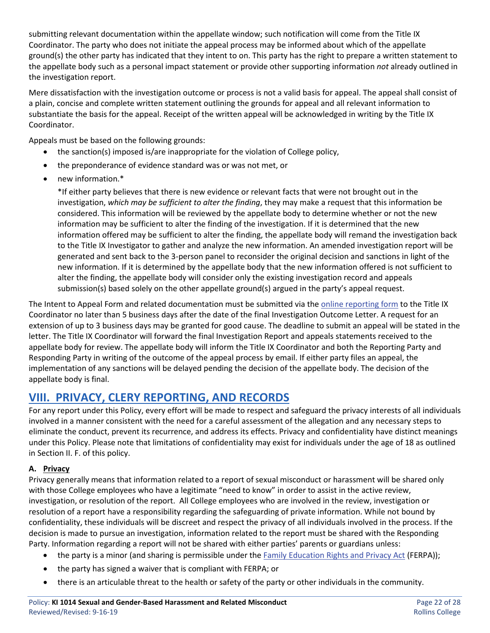submitting relevant documentation within the appellate window; such notification will come from the Title IX Coordinator. The party who does not initiate the appeal process may be informed about which of the appellate ground(s) the other party has indicated that they intent to on. This party has the right to prepare a written statement to the appellate body such as a personal impact statement or provide other supporting information *not* already outlined in the investigation report.

Mere dissatisfaction with the investigation outcome or process is not a valid basis for appeal. The appeal shall consist of a plain, concise and complete written statement outlining the grounds for appeal and all relevant information to substantiate the basis for the appeal. Receipt of the written appeal will be acknowledged in writing by the Title IX Coordinator.

Appeals must be based on the following grounds:

- the sanction(s) imposed is/are inappropriate for the violation of College policy,
- the preponderance of evidence standard was or was not met, or
- new information.\*

\*If either party believes that there is new evidence or relevant facts that were not brought out in the investigation, *which may be sufficient to alter the finding*, they may make a request that this information be considered. This information will be reviewed by the appellate body to determine whether or not the new information may be sufficient to alter the finding of the investigation. If it is determined that the new information offered may be sufficient to alter the finding, the appellate body will remand the investigation back to the Title IX Investigator to gather and analyze the new information. An amended investigation report will be generated and sent back to the 3-person panel to reconsider the original decision and sanctions in light of the new information. If it is determined by the appellate body that the new information offered is not sufficient to alter the finding, the appellate body will consider only the existing investigation record and appeals submission(s) based solely on the other appellate ground(s) argued in the party's appeal request.

The Intent to Appeal Form and related documentation must be submitted via the [online reporting form](https://cm.maxient.com/reportingform.php?RollinsCollege&layout_id=16) to the Title IX Coordinator no later than 5 business days after the date of the final Investigation Outcome Letter. A request for an extension of up to 3 business days may be granted for good cause. The deadline to submit an appeal will be stated in the letter. The Title IX Coordinator will forward the final Investigation Report and appeals statements received to the appellate body for review. The appellate body will inform the Title IX Coordinator and both the Reporting Party and Responding Party in writing of the outcome of the appeal process by email. If either party files an appeal, the implementation of any sanctions will be delayed pending the decision of the appellate body. The decision of the appellate body is final.

## **VIII. PRIVACY, CLERY REPORTING, AND RECORDS**

For any report under this Policy, every effort will be made to respect and safeguard the privacy interests of all individuals involved in a manner consistent with the need for a careful assessment of the allegation and any necessary steps to eliminate the conduct, prevent its recurrence, and address its effects. Privacy and confidentiality have distinct meanings under this Policy. Please note that limitations of confidentiality may exist for individuals under the age of 18 as outlined in Section II. F. of this policy.

#### **A. Privacy**

Privacy generally means that information related to a report of sexual misconduct or harassment will be shared only with those College employees who have a legitimate "need to know" in order to assist in the active review, investigation, or resolution of the report. All College employees who are involved in the review, investigation or resolution of a report have a responsibility regarding the safeguarding of private information. While not bound by confidentiality, these individuals will be discreet and respect the privacy of all individuals involved in the process. If the decision is made to pursue an investigation, information related to the report must be shared with the Responding Party. Information regarding a report will not be shared with either parties' parents or guardians unless:

- the party is a minor (and sharing is permissible under the [Family Education Rights and Privacy Act](http://www.rollins.edu/ir/policies-procedures/ferpa-policy.html) (FERPA));
- the party has signed a waiver that is compliant with FERPA; or
- there is an articulable threat to the health or safety of the party or other individuals in the community.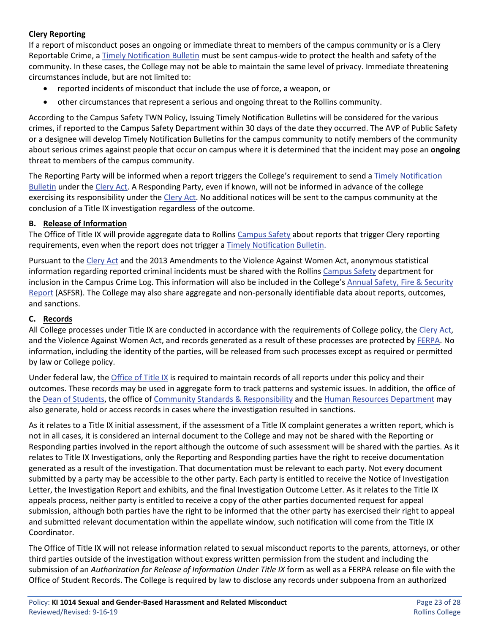## **Clery Reporting**

If a report of misconduct poses an ongoing or immediate threat to members of the campus community or is a Clery Reportable Crime, [a Timely Notification Bulletin](http://www.rollins.edu/campus-safety/clery-compliance/timely-notifications.html) must be sent campus-wide to protect the health and safety of the community. In these cases, the College may not be able to maintain the same level of privacy. Immediate threatening circumstances include, but are not limited to:

- reported incidents of misconduct that include the use of force, a weapon, or
- other circumstances that represent a serious and ongoing threat to the Rollins community.

According to the Campus Safety TWN Policy, Issuing Timely Notification Bulletins will be considered for the various crimes, if reported to the Campus Safety Department within 30 days of the date they occurred. The AVP of Public Safety or a designee will develop Timely Notification Bulletins for the campus community to notify members of the community about serious crimes against people that occur on campus where it is determined that the incident may pose an **ongoing** threat to members of the campus community.

The Reporting Party will be informed when a report triggers the College's requirement to send a [Timely Notification](http://www.rollins.edu/campus-safety/clery-compliance/timely-notifications.html)  [Bulletin](http://www.rollins.edu/campus-safety/clery-compliance/timely-notifications.html) under the [Clery Act.](http://www.rollins.edu/campus-safety/clery-compliance/index.html) A Responding Party, even if known, will not be informed in advance of the college exercising its responsibility under the [Clery Act.](http://www.rollins.edu/campus-safety/clery-compliance/index.html) No additional notices will be sent to the campus community at the conclusion of a Title IX investigation regardless of the outcome.

#### **B. Release of Information**

The Office of Title IX will provide aggregate data to Rollins [Campus Safety](http://www.rollins.edu/campus-safety/index.html) about reports that trigger Clery reporting requirements, even when the report does not trigger a [Timely Notification Bulletin.](http://www.rollins.edu/campus-safety/clery-compliance/timely-notifications.html)

Pursuant to the [Clery Act](http://www.rollins.edu/campus-safety/clery-compliance/index.html) and the 2013 Amendments to the Violence Against Women Act, anonymous statistical information regarding reported criminal incidents must be shared with the Rollins [Campus Safety](http://www.rollins.edu/campus-safety/index.html) department for inclusion in the Campus Crime Log. This information will also be included in the College's [Annual Safety, Fire & Security](http://www.rollins.edu/campus-safety/clery-compliance/index.html)  [Report](http://www.rollins.edu/campus-safety/clery-compliance/index.html) (ASFSR). The College may also share aggregate and non-personally identifiable data about reports, outcomes, and sanctions.

#### **C. Records**

All College processes under Title IX are conducted in accordance with the requirements of College policy, the [Clery Act,](http://www.rollins.edu/campus-safety/clery-compliance/index.html) and the Violence Against Women Act, and records generated as a result of these processes are protected by [FERPA.](http://www.rollins.edu/ir/policies-procedures/ferpa-policy.html) No information, including the identity of the parties, will be released from such processes except as required or permitted by law or College policy.

Under federal law, the [Office of Title IX](http://www.rollins.edu/sexual-misconduct/index.html) is required to maintain records of all reports under this policy and their outcomes. These records may be used in aggregate form to track patterns and systemic issues. In addition, the office of the [Dean of Students,](http://www.rollins.edu/student-affairs/index.html) the office of [Community Standards & Responsibility](http://www.rollins.edu/community-standards-responsibility/index.html) and the [Human Resources Department](http://www.rollins.edu/human-resources/index.html) may also generate, hold or access records in cases where the investigation resulted in sanctions.

As it relates to a Title IX initial assessment, if the assessment of a Title IX complaint generates a written report, which is not in all cases, it is considered an internal document to the College and may not be shared with the Reporting or Responding parties involved in the report although the outcome of such assessment will be shared with the parties. As it relates to Title IX Investigations, only the Reporting and Responding parties have the right to receive documentation generated as a result of the investigation. That documentation must be relevant to each party. Not every document submitted by a party may be accessible to the other party. Each party is entitled to receive the Notice of Investigation Letter, the Investigation Report and exhibits, and the final Investigation Outcome Letter. As it relates to the Title IX appeals process, neither party is entitled to receive a copy of the other parties documented request for appeal submission, although both parties have the right to be informed that the other party has exercised their right to appeal and submitted relevant documentation within the appellate window, such notification will come from the Title IX Coordinator.

The Office of Title IX will not release information related to sexual misconduct reports to the parents, attorneys, or other third parties outside of the investigation without express written permission from the student and including the submission of an *Authorization for Release of Information Under Title IX* form as well as a FERPA release on file with the Office of Student Records. The College is required by law to disclose any records under subpoena from an authorized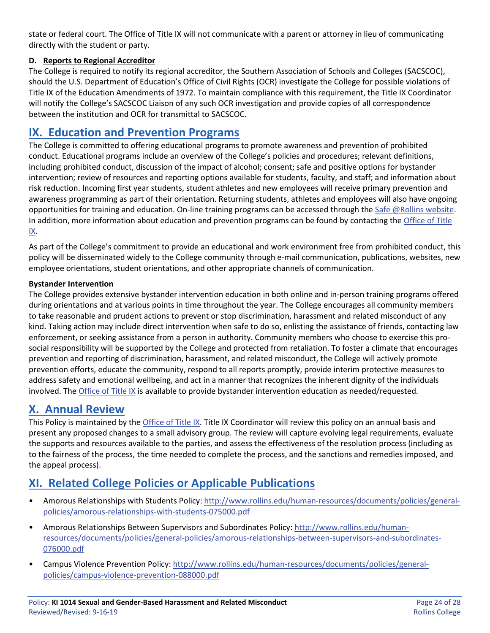state or federal court. The Office of Title IX will not communicate with a parent or attorney in lieu of communicating directly with the student or party.

## **D. Reports to Regional Accreditor**

The College is required to notify its regional accreditor, the Southern Association of Schools and Colleges (SACSCOC), should the U.S. Department of Education's Office of Civil Rights (OCR) investigate the College for possible violations of Title IX of the Education Amendments of 1972. To maintain compliance with this requirement, the Title IX Coordinator will notify the College's SACSCOC Liaison of any such OCR investigation and provide copies of all correspondence between the institution and OCR for transmittal to SACSCOC.

## **IX. Education and Prevention Programs**

The College is committed to offering educational programs to promote awareness and prevention of prohibited conduct. Educational programs include an overview of the College's policies and procedures; relevant definitions, including prohibited conduct, discussion of the impact of alcohol; consent; safe and positive options for bystander intervention; review of resources and reporting options available for students, faculty, and staff; and information about risk reduction. Incoming first year students, student athletes and new employees will receive primary prevention and awareness programming as part of their orientation. Returning students, athletes and employees will also have ongoing opportunities for training and education. On-line training programs can be accessed through th[e Safe @Rollins website.](http://www.rollins.edu/sexual-misconduct/safe-at-rollins/index.html) In addition, more information about education and prevention programs can be found by contacting th[e Office of Title](http://www.rollins.edu/sexual-misconduct/index.html)  [IX.](http://www.rollins.edu/sexual-misconduct/index.html)

As part of the College's commitment to provide an educational and work environment free from prohibited conduct, this policy will be disseminated widely to the College community through e-mail communication, publications, websites, new employee orientations, student orientations, and other appropriate channels of communication.

#### **Bystander Intervention**

The College provides extensive bystander intervention education in both online and in-person training programs offered during orientations and at various points in time throughout the year. The College encourages all community members to take reasonable and prudent actions to prevent or stop discrimination, harassment and related misconduct of any kind. Taking action may include direct intervention when safe to do so, enlisting the assistance of friends, contacting law enforcement, or seeking assistance from a person in authority. Community members who choose to exercise this prosocial responsibility will be supported by the College and protected from retaliation. To foster a climate that encourages prevention and reporting of discrimination, harassment, and related misconduct, the College will actively promote prevention efforts, educate the community, respond to all reports promptly, provide interim protective measures to address safety and emotional wellbeing, and act in a manner that recognizes the inherent dignity of the individuals involved. The [Office of Title IX](http://www.rollins.edu/sexual-misconduct/index.html) is available to provide bystander intervention education as needed/requested.

## **X. Annual Review**

This Policy is maintained by the *Office of Title IX*. Title IX Coordinator will review this policy on an annual basis and present any proposed changes to a small advisory group. The review will capture evolving legal requirements, evaluate the supports and resources available to the parties, and assess the effectiveness of the resolution process (including as to the fairness of the process, the time needed to complete the process, and the sanctions and remedies imposed, and the appeal process).

## **XI. Related College Policies or Applicable Publications**

- Amorous Relationships with Students Policy: [http://www.rollins.edu/human-resources/documents/policies/general](http://www.rollins.edu/human-resources/documents/policies/general-policies/amorous-relationships-with-students-075000.pdf)[policies/amorous-relationships-with-students-075000.pdf](http://www.rollins.edu/human-resources/documents/policies/general-policies/amorous-relationships-with-students-075000.pdf)
- Amorous Relationships Between Supervisors and Subordinates Policy: [http://www.rollins.edu/human](http://www.rollins.edu/human-resources/documents/policies/general-policies/amorous-relationships-between-supervisors-and-subordinates-076000.pdf)[resources/documents/policies/general-policies/amorous-relationships-between-supervisors-and-subordinates-](http://www.rollins.edu/human-resources/documents/policies/general-policies/amorous-relationships-between-supervisors-and-subordinates-076000.pdf)[076000.pdf](http://www.rollins.edu/human-resources/documents/policies/general-policies/amorous-relationships-between-supervisors-and-subordinates-076000.pdf)
- Campus Violence Prevention Policy: [http://www.rollins.edu/human-resources/documents/policies/general](http://www.rollins.edu/human-resources/documents/policies/general-policies/campus-violence-prevention-088000.pdf)[policies/campus-violence-prevention-088000.pdf](http://www.rollins.edu/human-resources/documents/policies/general-policies/campus-violence-prevention-088000.pdf)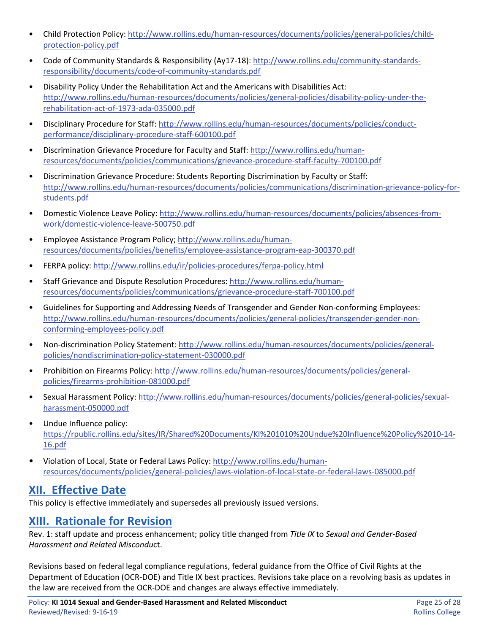- Child Protection Policy: [http://www.rollins.edu/human-resources/documents/policies/general-policies/child](http://www.rollins.edu/human-resources/documents/policies/general-policies/child-protection-policy.pdf)[protection-policy.pdf](http://www.rollins.edu/human-resources/documents/policies/general-policies/child-protection-policy.pdf)
- Code of Community Standards & Responsibility (Ay17-18): [http://www.rollins.edu/community-standards](http://www.rollins.edu/community-standards-responsibility/documents/code-of-community-standards.pdf)[responsibility/documents/code-of-community-standards.pdf](http://www.rollins.edu/community-standards-responsibility/documents/code-of-community-standards.pdf)
- Disability Policy Under the Rehabilitation Act and the Americans with Disabilities Act: [http://www.rollins.edu/human-resources/documents/policies/general-policies/disability-policy-under-the](http://www.rollins.edu/human-resources/documents/policies/general-policies/disability-policy-under-the-rehabilitation-act-of-1973-ada-035000.pdf)[rehabilitation-act-of-1973-ada-035000.pdf](http://www.rollins.edu/human-resources/documents/policies/general-policies/disability-policy-under-the-rehabilitation-act-of-1973-ada-035000.pdf)
- Disciplinary Procedure for Staff: [http://www.rollins.edu/human-resources/documents/policies/conduct](http://www.rollins.edu/human-resources/documents/policies/conduct-performance/disciplinary-procedure-staff-600100.pdf)[performance/disciplinary-procedure-staff-600100.pdf](http://www.rollins.edu/human-resources/documents/policies/conduct-performance/disciplinary-procedure-staff-600100.pdf)
- Discrimination Grievance Procedure for Faculty and Staff: [http://www.rollins.edu/human](http://www.rollins.edu/human-resources/documents/policies/communications/grievance-procedure-staff-faculty-700100.pdf)[resources/documents/policies/communications/grievance-procedure-staff-faculty-700100.pdf](http://www.rollins.edu/human-resources/documents/policies/communications/grievance-procedure-staff-faculty-700100.pdf)
- Discrimination Grievance Procedure: Students Reporting Discrimination by Faculty or Staff: [http://www.rollins.edu/human-resources/documents/policies/communications/discrimination-grievance-policy-for](http://www.rollins.edu/human-resources/documents/policies/communications/discrimination-grievance-policy-for-students.pdf)[students.pdf](http://www.rollins.edu/human-resources/documents/policies/communications/discrimination-grievance-policy-for-students.pdf)
- Domestic Violence Leave Policy: [http://www.rollins.edu/human-resources/documents/policies/absences-from](http://www.rollins.edu/human-resources/documents/policies/absences-from-work/domestic-violence-leave-500750.pdf)[work/domestic-violence-leave-500750.pdf](http://www.rollins.edu/human-resources/documents/policies/absences-from-work/domestic-violence-leave-500750.pdf)
- Employee Assistance Program Policy; [http://www.rollins.edu/human](http://www.rollins.edu/human-resources/documents/policies/benefits/employee-assistance-program-eap-300370.pdf)[resources/documents/policies/benefits/employee-assistance-program-eap-300370.pdf](http://www.rollins.edu/human-resources/documents/policies/benefits/employee-assistance-program-eap-300370.pdf)
- FERPA policy[: http://www.rollins.edu/ir/policies-procedures/ferpa-policy.html](http://www.rollins.edu/ir/policies-procedures/ferpa-policy.html)
- Staff Grievance and Dispute Resolution Procedures: [http://www.rollins.edu/human](http://www.rollins.edu/human-resources/documents/policies/communications/grievance-procedure-staff-700100.pdf)[resources/documents/policies/communications/grievance-procedure-staff-700100.pdf](http://www.rollins.edu/human-resources/documents/policies/communications/grievance-procedure-staff-700100.pdf)
- Guidelines for Supporting and Addressing Needs of Transgender and Gender Non-conforming Employees: [http://www.rollins.edu/human-resources/documents/policies/general-policies/transgender-gender-non](http://www.rollins.edu/human-resources/documents/policies/general-policies/transgender-gender-non-conforming-employees-policy.pdf)[conforming-employees-policy.pdf](http://www.rollins.edu/human-resources/documents/policies/general-policies/transgender-gender-non-conforming-employees-policy.pdf)
- Non-discrimination Policy Statement: [http://www.rollins.edu/human-resources/documents/policies/general](http://www.rollins.edu/human-resources/documents/policies/general-policies/nondiscrimination-policy-statement-030000.pdf)[policies/nondiscrimination-policy-statement-030000.pdf](http://www.rollins.edu/human-resources/documents/policies/general-policies/nondiscrimination-policy-statement-030000.pdf)
- Prohibition on Firearms Policy: [http://www.rollins.edu/human-resources/documents/policies/general](http://www.rollins.edu/human-resources/documents/policies/general-policies/firearms-prohibition-081000.pdf)[policies/firearms-prohibition-081000.pdf](http://www.rollins.edu/human-resources/documents/policies/general-policies/firearms-prohibition-081000.pdf)
- Sexual Harassment Policy: [http://www.rollins.edu/human-resources/documents/policies/general-policies/sexual](http://www.rollins.edu/human-resources/documents/policies/general-policies/sexual-harassment-050000.pdf)[harassment-050000.pdf](http://www.rollins.edu/human-resources/documents/policies/general-policies/sexual-harassment-050000.pdf)
- Undue Influence policy: [https://rpublic.rollins.edu/sites/IR/Shared%20Documents/KI%201010%20Undue%20Influence%20Policy%2010-14-](https://rpublic.rollins.edu/sites/IR/Shared%20Documents/KI%201010%20Undue%20Influence%20Policy%2010-14-16.pdf) [16.pdf](https://rpublic.rollins.edu/sites/IR/Shared%20Documents/KI%201010%20Undue%20Influence%20Policy%2010-14-16.pdf)
- Violation of Local, State or Federal Laws Policy: [http://www.rollins.edu/human](http://www.rollins.edu/human-resources/documents/policies/general-policies/laws-violation-of-local-state-or-federal-laws-085000.pdf)[resources/documents/policies/general-policies/laws-violation-of-local-state-or-federal-laws-085000.pdf](http://www.rollins.edu/human-resources/documents/policies/general-policies/laws-violation-of-local-state-or-federal-laws-085000.pdf)

# **XII. Effective Date**

This policy is effective immediately and supersedes all previously issued versions.

# **XIII. Rationale for Revision**

Rev. 1: staff update and process enhancement; policy title changed from *Title IX* to *Sexual and Gender-Based Harassment and Related Miscondu*ct.

Revisions based on federal legal compliance regulations, federal guidance from the Office of Civil Rights at the Department of Education (OCR-DOE) and Title IX best practices. Revisions take place on a revolving basis as updates in the law are received from the OCR-DOE and changes are always effective immediately.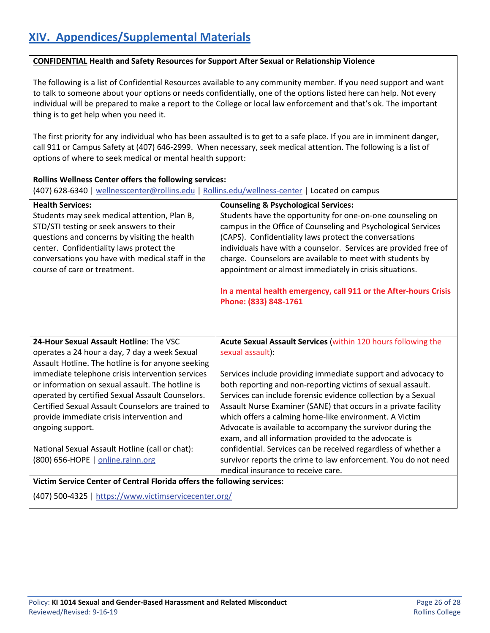#### **CONFIDENTIAL Health and Safety Resources for Support After Sexual or Relationship Violence**

The following is a list of Confidential Resources available to any community member. If you need support and want to talk to someone about your options or needs confidentially, one of the options listed here can help. Not every individual will be prepared to make a report to the College or local law enforcement and that's ok. The important thing is to get help when you need it.

The first priority for any individual who has been assaulted is to get to a safe place. If you are in imminent danger, call 911 or Campus Safety at (407) 646-2999. When necessary, seek medical attention. The following is a list of options of where to seek medical or mental health support:

| Rollins Wellness Center offers the following services:                                                                                                                                                                                                                    |                                                                                                                                                                                                                                                                                                                                                                                                                                                       |  |  |
|---------------------------------------------------------------------------------------------------------------------------------------------------------------------------------------------------------------------------------------------------------------------------|-------------------------------------------------------------------------------------------------------------------------------------------------------------------------------------------------------------------------------------------------------------------------------------------------------------------------------------------------------------------------------------------------------------------------------------------------------|--|--|
| (407) 628-6340   wellnesscenter@rollins.edu   Rollins.edu/wellness-center   Located on campus                                                                                                                                                                             |                                                                                                                                                                                                                                                                                                                                                                                                                                                       |  |  |
| <b>Health Services:</b>                                                                                                                                                                                                                                                   | <b>Counseling &amp; Psychological Services:</b>                                                                                                                                                                                                                                                                                                                                                                                                       |  |  |
| Students may seek medical attention, Plan B,<br>STD/STI testing or seek answers to their<br>questions and concerns by visiting the health<br>center. Confidentiality laws protect the<br>conversations you have with medical staff in the<br>course of care or treatment. | Students have the opportunity for one-on-one counseling on<br>campus in the Office of Counseling and Psychological Services<br>(CAPS). Confidentiality laws protect the conversations<br>individuals have with a counselor. Services are provided free of<br>charge. Counselors are available to meet with students by<br>appointment or almost immediately in crisis situations.<br>In a mental health emergency, call 911 or the After-hours Crisis |  |  |
|                                                                                                                                                                                                                                                                           | Phone: (833) 848-1761                                                                                                                                                                                                                                                                                                                                                                                                                                 |  |  |
| 24-Hour Sexual Assault Hotline: The VSC                                                                                                                                                                                                                                   | Acute Sexual Assault Services (within 120 hours following the                                                                                                                                                                                                                                                                                                                                                                                         |  |  |
| operates a 24 hour a day, 7 day a week Sexual                                                                                                                                                                                                                             | sexual assault):                                                                                                                                                                                                                                                                                                                                                                                                                                      |  |  |
| Assault Hotline. The hotline is for anyone seeking                                                                                                                                                                                                                        |                                                                                                                                                                                                                                                                                                                                                                                                                                                       |  |  |
| immediate telephone crisis intervention services<br>or information on sexual assault. The hotline is                                                                                                                                                                      | Services include providing immediate support and advocacy to<br>both reporting and non-reporting victims of sexual assault.                                                                                                                                                                                                                                                                                                                           |  |  |
| operated by certified Sexual Assault Counselors.                                                                                                                                                                                                                          | Services can include forensic evidence collection by a Sexual                                                                                                                                                                                                                                                                                                                                                                                         |  |  |
| Certified Sexual Assault Counselors are trained to                                                                                                                                                                                                                        | Assault Nurse Examiner (SANE) that occurs in a private facility                                                                                                                                                                                                                                                                                                                                                                                       |  |  |
| provide immediate crisis intervention and                                                                                                                                                                                                                                 | which offers a calming home-like environment. A Victim                                                                                                                                                                                                                                                                                                                                                                                                |  |  |
| ongoing support.                                                                                                                                                                                                                                                          | Advocate is available to accompany the survivor during the<br>exam, and all information provided to the advocate is                                                                                                                                                                                                                                                                                                                                   |  |  |
| National Sexual Assault Hotline (call or chat):                                                                                                                                                                                                                           | confidential. Services can be received regardless of whether a                                                                                                                                                                                                                                                                                                                                                                                        |  |  |
| (800) 656-HOPE   online.rainn.org                                                                                                                                                                                                                                         | survivor reports the crime to law enforcement. You do not need                                                                                                                                                                                                                                                                                                                                                                                        |  |  |
|                                                                                                                                                                                                                                                                           | medical insurance to receive care.                                                                                                                                                                                                                                                                                                                                                                                                                    |  |  |
| Victim Service Center of Central Florida offers the following services:                                                                                                                                                                                                   |                                                                                                                                                                                                                                                                                                                                                                                                                                                       |  |  |
| (407) 500-4325   https://www.victimservicecenter.org/                                                                                                                                                                                                                     |                                                                                                                                                                                                                                                                                                                                                                                                                                                       |  |  |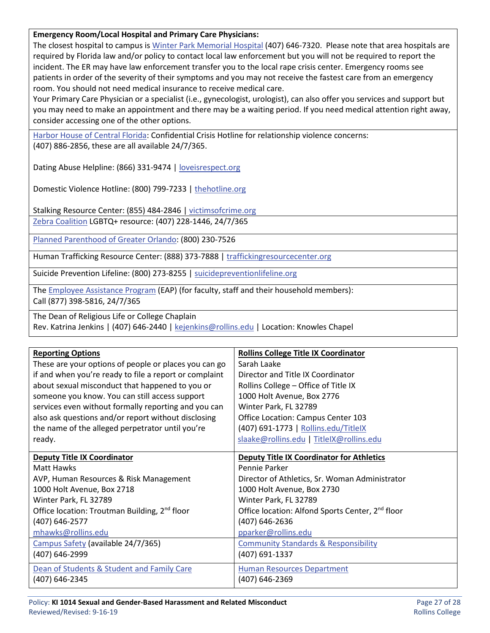#### **Emergency Room/Local Hospital and Primary Care Physicians:**

The closest hospital to campus is [Winter Park Memorial Hospital](https://www.floridahospital.com/winter-park-memorial/emergency-services) (407) 646-7320. Please note that area hospitals are required by Florida law and/or policy to contact local law enforcement but you will not be required to report the incident. The ER may have law enforcement transfer you to the local rape crisis center. Emergency rooms see patients in order of the severity of their symptoms and you may not receive the fastest care from an emergency room. You should not need medical insurance to receive medical care.

Your Primary Care Physician or a specialist (i.e., gynecologist, urologist), can also offer you services and support but you may need to make an appointment and there may be a waiting period. If you need medical attention right away, consider accessing one of the other options.

[Harbor House of Central Florida:](https://www.harborhousefl.com/) Confidential Crisis Hotline for relationship violence concerns: (407) 886-2856, these are all available 24/7/365.

Dating Abuse Helpline: (866) 331-9474 | [loveisrespect.org](http://www.loveisrespect.org/)

Domestic Violence Hotline: (800) 799-7233 | [thehotline.org](http://www.thehotline.org/)

Stalking Resource Center: (855) 484-2846 [| victimsofcrime.org](http://victimsofcrime.org/) [Zebra Coalition](http://www.zebrayouth.org/) LGBTQ+ resource: (407) 228-1446, 24/7/365

[Planned Parenthood of Greater Orlando:](https://www.plannedparenthood.org/planned-parenthood-southwest-central-florida) (800) 230-7526

Human Trafficking Resource Center: (888) 373-7888 | [traffickingresourcecenter.org](https://humantraffickinghotline.org/)

Suicide Prevention Lifeline: (800) 273-8255 | [suicidepreventionlifeline.org](https://suicidepreventionlifeline.org/)

Th[e Employee Assistance Program](https://www.resourcesforliving.com/login.aspx) (EAP) (for faculty, staff and their household members):

Call (877) 398-5816, 24/7/365

The Dean of Religious Life or College Chaplain

Rev. Katrina Jenkins | (407) 646-2440 | [kejenkins@rollins.edu](mailto:kejenkins@rollins.edu) | Location: Knowles Chapel

| <b>Reporting Options</b>                                  | <b>Rollins College Title IX Coordinator</b>                  |
|-----------------------------------------------------------|--------------------------------------------------------------|
| These are your options of people or places you can go     | Sarah Laake                                                  |
| if and when you're ready to file a report or complaint    | Director and Title IX Coordinator                            |
| about sexual misconduct that happened to you or           | Rollins College - Office of Title IX                         |
| someone you know. You can still access support            | 1000 Holt Avenue, Box 2776                                   |
| services even without formally reporting and you can      | Winter Park, FL 32789                                        |
| also ask questions and/or report without disclosing       | Office Location: Campus Center 103                           |
| the name of the alleged perpetrator until you're          | (407) 691-1773   Rollins.edu/TitlelX                         |
| ready.                                                    | slaake@rollins.edu   TitleIX@rollins.edu                     |
| <b>Deputy Title IX Coordinator</b>                        | <b>Deputy Title IX Coordinator for Athletics</b>             |
| Matt Hawks                                                | Pennie Parker                                                |
| AVP, Human Resources & Risk Management                    | Director of Athletics, Sr. Woman Administrator               |
| 1000 Holt Avenue, Box 2718                                | 1000 Holt Avenue, Box 2730                                   |
| Winter Park, FL 32789                                     | Winter Park, FL 32789                                        |
| Office location: Troutman Building, 2 <sup>nd</sup> floor | Office location: Alfond Sports Center, 2 <sup>nd</sup> floor |
| (407) 646-2577                                            | (407) 646-2636                                               |
| mhawks@rollins.edu                                        | pparker@rollins.edu                                          |
| Campus Safety (available 24/7/365)                        | <b>Community Standards &amp; Responsibility</b>              |
| (407) 646-2999                                            | (407) 691-1337                                               |
| Dean of Students & Student and Family Care                | <b>Human Resources Department</b>                            |
| (407) 646-2345                                            | (407) 646-2369                                               |